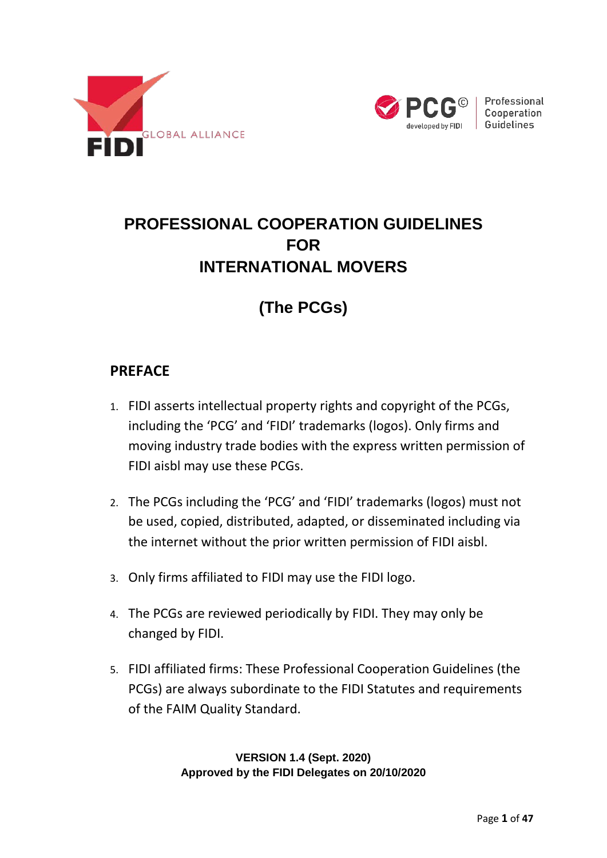



Professional Cooperation Guidelines

# **PROFESSIONAL COOPERATION GUIDELINES FOR INTERNATIONAL MOVERS**

# **(The PCGs)**

#### <span id="page-0-0"></span>**PREFACE**

- 1. FIDI asserts intellectual property rights and copyright of the PCGs, including the 'PCG' and 'FIDI' trademarks (logos). Only firms and moving industry trade bodies with the express written permission of FIDI aisbl may use these PCGs.
- 2. The PCGs including the 'PCG' and 'FIDI' trademarks (logos) must not be used, copied, distributed, adapted, or disseminated including via the internet without the prior written permission of FIDI aisbl.
- 3. Only firms affiliated to FIDI may use the FIDI logo.
- 4. The PCGs are reviewed periodically by FIDI. They may only be changed by FIDI.
- 5. FIDI affiliated firms: These Professional Cooperation Guidelines (the PCGs) are always subordinate to the FIDI Statutes and requirements of the FAIM Quality Standard.

**VERSION 1.4 (Sept. 2020) Approved by the FIDI Delegates on 20/10/2020**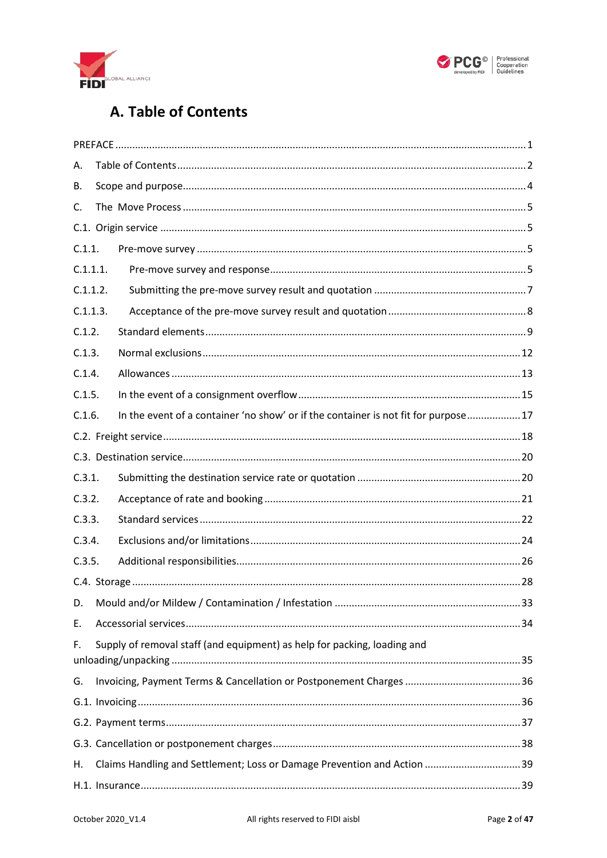



# A. Table of Contents

<span id="page-1-0"></span>

| А.       |                                                                          |                                                                                    |  |  |  |  |
|----------|--------------------------------------------------------------------------|------------------------------------------------------------------------------------|--|--|--|--|
| В.       |                                                                          |                                                                                    |  |  |  |  |
| C.       |                                                                          |                                                                                    |  |  |  |  |
|          |                                                                          |                                                                                    |  |  |  |  |
| C.1.1.   |                                                                          |                                                                                    |  |  |  |  |
| C.1.1.1. |                                                                          |                                                                                    |  |  |  |  |
| C.1.1.2. |                                                                          |                                                                                    |  |  |  |  |
| C.1.1.3. |                                                                          |                                                                                    |  |  |  |  |
| C.1.2.   |                                                                          |                                                                                    |  |  |  |  |
| C.1.3.   |                                                                          |                                                                                    |  |  |  |  |
| C.1.4.   |                                                                          |                                                                                    |  |  |  |  |
| C.1.5.   |                                                                          |                                                                                    |  |  |  |  |
| C.1.6.   |                                                                          | In the event of a container 'no show' or if the container is not fit for purpose17 |  |  |  |  |
|          |                                                                          |                                                                                    |  |  |  |  |
|          |                                                                          |                                                                                    |  |  |  |  |
| C.3.1.   |                                                                          |                                                                                    |  |  |  |  |
| C.3.2.   |                                                                          |                                                                                    |  |  |  |  |
| C.3.3.   |                                                                          |                                                                                    |  |  |  |  |
| C.3.4.   |                                                                          |                                                                                    |  |  |  |  |
| C.3.5.   |                                                                          |                                                                                    |  |  |  |  |
|          |                                                                          |                                                                                    |  |  |  |  |
| D.       |                                                                          |                                                                                    |  |  |  |  |
| Ε.       |                                                                          |                                                                                    |  |  |  |  |
| F.       | Supply of removal staff (and equipment) as help for packing, loading and |                                                                                    |  |  |  |  |
| G.       |                                                                          |                                                                                    |  |  |  |  |
|          |                                                                          |                                                                                    |  |  |  |  |
|          |                                                                          |                                                                                    |  |  |  |  |
|          |                                                                          |                                                                                    |  |  |  |  |
| Н.       |                                                                          | Claims Handling and Settlement; Loss or Damage Prevention and Action  39           |  |  |  |  |
|          |                                                                          |                                                                                    |  |  |  |  |
|          |                                                                          |                                                                                    |  |  |  |  |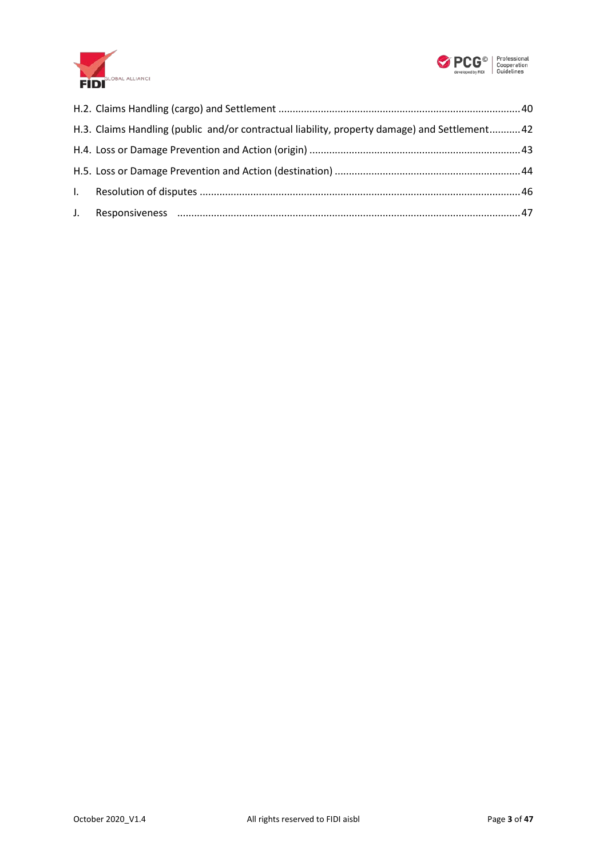



| H.3. Claims Handling (public and/or contractual liability, property damage) and Settlement 42 |  |
|-----------------------------------------------------------------------------------------------|--|
|                                                                                               |  |
|                                                                                               |  |
|                                                                                               |  |
|                                                                                               |  |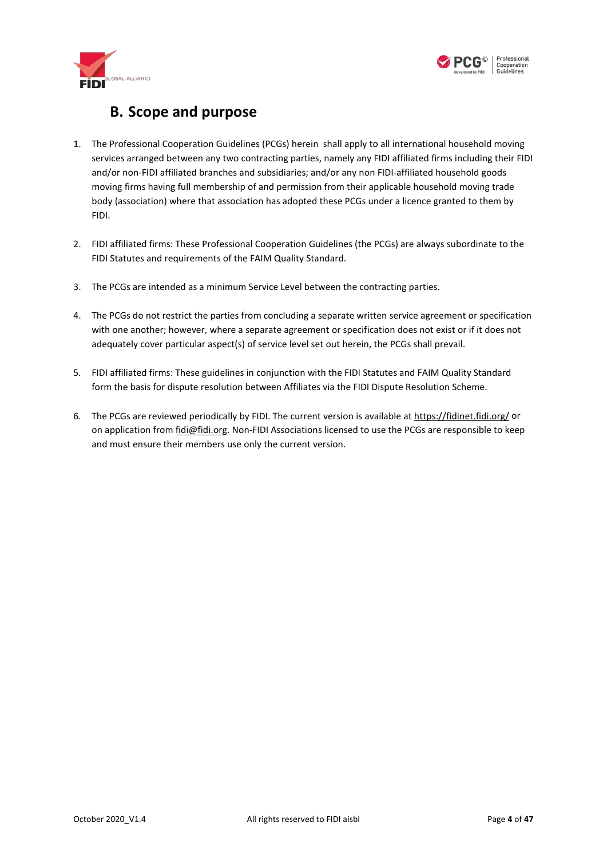



#### **B. Scope and purpose**

- <span id="page-3-0"></span>1. The Professional Cooperation Guidelines (PCGs) herein shall apply to all international household moving services arranged between any two contracting parties, namely any FIDI affiliated firms including their FIDI and/or non-FIDI affiliated branches and subsidiaries; and/or any non FIDI-affiliated household goods moving firms having full membership of and permission from their applicable household moving trade body (association) where that association has adopted these PCGs under a licence granted to them by FIDI.
- 2. FIDI affiliated firms: These Professional Cooperation Guidelines (the PCGs) are always subordinate to the FIDI Statutes and requirements of the FAIM Quality Standard.
- 3. The PCGs are intended as a minimum Service Level between the contracting parties.
- 4. The PCGs do not restrict the parties from concluding a separate written service agreement or specification with one another; however, where a separate agreement or specification does not exist or if it does not adequately cover particular aspect(s) of service level set out herein, the PCGs shall prevail.
- 5. FIDI affiliated firms: These guidelines in conjunction with the FIDI Statutes and FAIM Quality Standard form the basis for dispute resolution between Affiliates via the FIDI Dispute Resolution Scheme.
- 6. The PCGs are reviewed periodically by FIDI. The current version is available a[t https://fidinet.fidi.org/](https://fidinet.fidi.org/) or on application from [fidi@fidi.org.](mailto:fidi@fidi.org) Non-FIDI Associations licensed to use the PCGs are responsible to keep and must ensure their members use only the current version.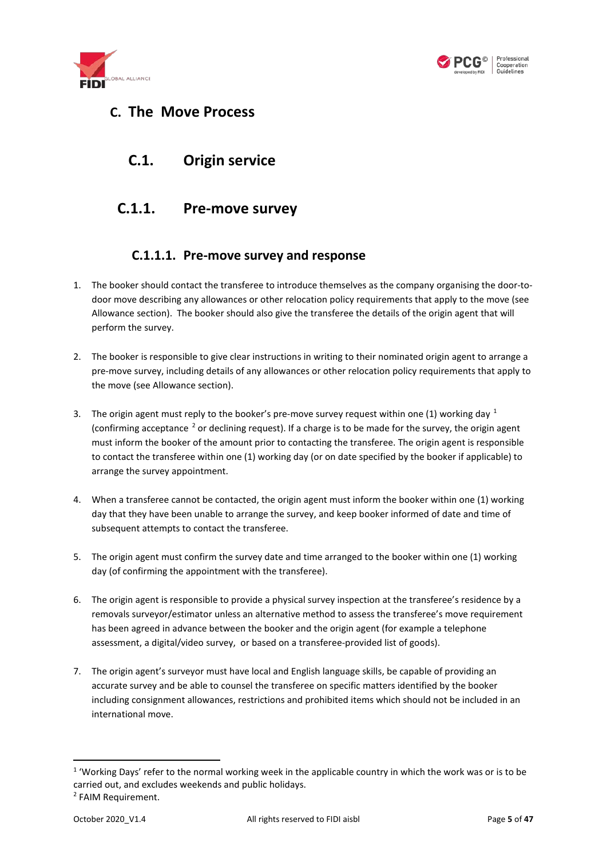



#### <span id="page-4-1"></span><span id="page-4-0"></span>**C. The Move Process**

#### **C.1. Origin service**

#### <span id="page-4-2"></span>**C.1.1. Pre-move survey**

#### **C.1.1.1. Pre-move survey and response**

- <span id="page-4-3"></span>1. The booker should contact the transferee to introduce themselves as the company organising the door-todoor move describing any allowances or other relocation policy requirements that apply to the move (see Allowance section). The booker should also give the transferee the details of the origin agent that will perform the survey.
- 2. The booker is responsible to give clear instructions in writing to their nominated origin agent to arrange a pre-move survey, including details of any allowances or other relocation policy requirements that apply to the move (see Allowance section).
- 3. The origin agent must reply to the booker's pre-move survey request within one ([1](#page-4-4)) working day  $1$ (confirming acceptance [2](#page-4-5) or declining request). If a charge is to be made for the survey, the origin agent must inform the booker of the amount prior to contacting the transferee. The origin agent is responsible to contact the transferee within one (1) working day (or on date specified by the booker if applicable) to arrange the survey appointment.
- 4. When a transferee cannot be contacted, the origin agent must inform the booker within one (1) working day that they have been unable to arrange the survey, and keep booker informed of date and time of subsequent attempts to contact the transferee.
- 5. The origin agent must confirm the survey date and time arranged to the booker within one (1) working day (of confirming the appointment with the transferee).
- 6. The origin agent is responsible to provide a physical survey inspection at the transferee's residence by a removals surveyor/estimator unless an alternative method to assess the transferee's move requirement has been agreed in advance between the booker and the origin agent (for example a telephone assessment, a digital/video survey, or based on a transferee-provided list of goods).
- 7. The origin agent's surveyor must have local and English language skills, be capable of providing an accurate survey and be able to counsel the transferee on specific matters identified by the booker including consignment allowances, restrictions and prohibited items which should not be included in an international move.

<span id="page-4-4"></span><sup>&</sup>lt;sup>1</sup> 'Working Days' refer to the normal working week in the applicable country in which the work was or is to be carried out, and excludes weekends and public holidays.

<span id="page-4-5"></span><sup>2</sup> FAIM Requirement.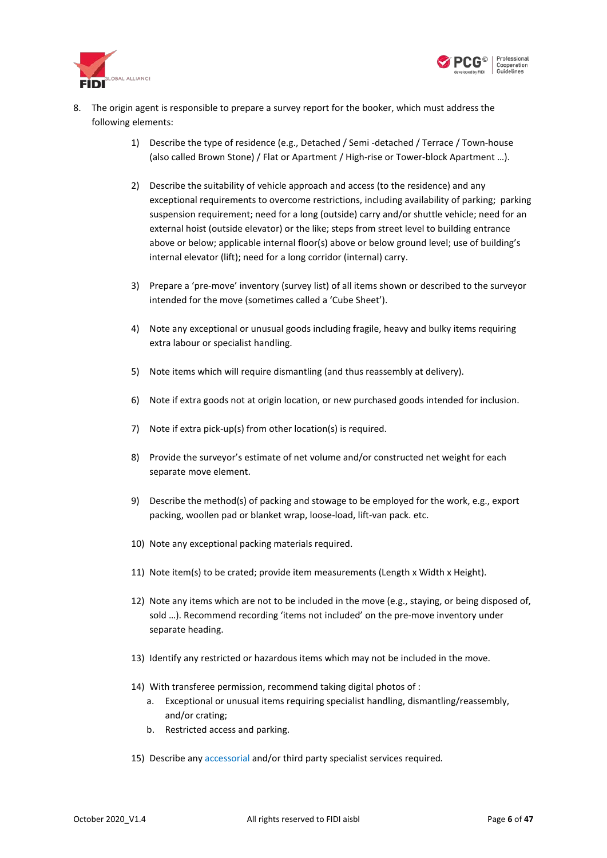



- 8. The origin agent is responsible to prepare a survey report for the booker, which must address the following elements:
	- 1) Describe the type of residence (e.g., Detached / Semi -detached / Terrace / Town-house (also called Brown Stone) / Flat or Apartment / High-rise or Tower-block Apartment …).
	- 2) Describe the suitability of vehicle approach and access (to the residence) and any exceptional requirements to overcome restrictions, including availability of parking; parking suspension requirement; need for a long (outside) carry and/or shuttle vehicle; need for an external hoist (outside elevator) or the like; steps from street level to building entrance above or below; applicable internal floor(s) above or below ground level; use of building's internal elevator (lift); need for a long corridor (internal) carry.
	- 3) Prepare a 'pre-move' inventory (survey list) of all items shown or described to the surveyor intended for the move (sometimes called a 'Cube Sheet').
	- 4) Note any exceptional or unusual goods including fragile, heavy and bulky items requiring extra labour or specialist handling.
	- 5) Note items which will require dismantling (and thus reassembly at delivery).
	- 6) Note if extra goods not at origin location, or new purchased goods intended for inclusion.
	- 7) Note if extra pick-up(s) from other location(s) is required.
	- 8) Provide the surveyor's estimate of net volume and/or constructed net weight for each separate move element.
	- 9) Describe the method(s) of packing and stowage to be employed for the work, e.g., export packing, woollen pad or blanket wrap, loose-load, lift-van pack. etc.
	- 10) Note any exceptional packing materials required.
	- 11) Note item(s) to be crated; provide item measurements (Length x Width x Height).
	- 12) Note any items which are not to be included in the move (e.g., staying, or being disposed of, sold …). Recommend recording 'items not included' on the pre-move inventory under separate heading.
	- 13) Identify any restricted or hazardous items which may not be included in the move.
	- 14) With transferee permission, recommend taking digital photos of :
		- a. Exceptional or unusual items requiring specialist handling, dismantling/reassembly, and/or crating;
		- b. Restricted access and parking.
	- 15) Describe any [accessorial](#page-33-0) and/or third party specialist services required*.*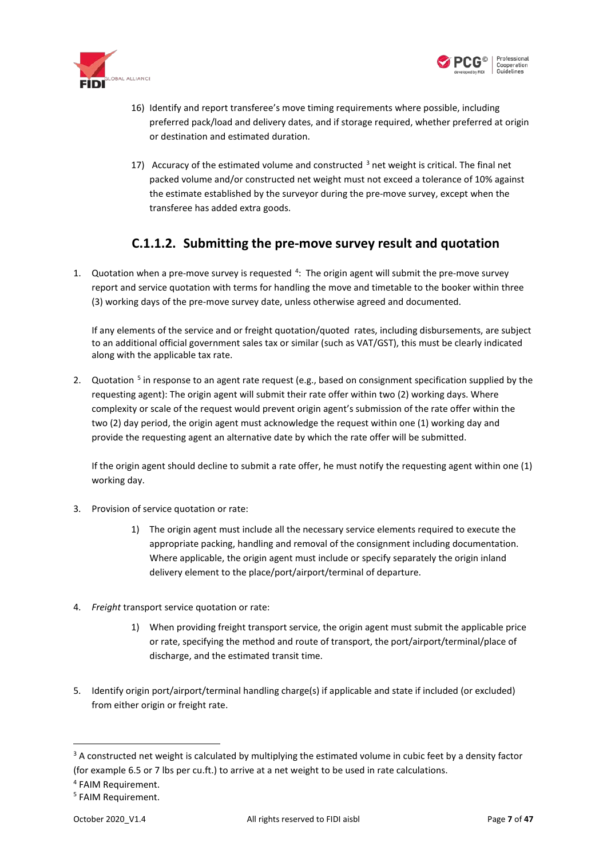



- 16) Identify and report transferee's move timing requirements where possible, including preferred pack/load and delivery dates, and if storage required, whether preferred at origin or destination and estimated duration.
- 17) Accuracy of the estimated volume and constructed  $3$  net weight is critical. The final net packed volume and/or constructed net weight must not exceed a tolerance of 10% against the estimate established by the surveyor during the pre-move survey, except when the transferee has added extra goods.

#### **C.1.1.2. Submitting the pre-move survey result and quotation**

<span id="page-6-0"></span>1. Quotation when a pre-move survey is requested <sup>[4](#page-6-2)</sup>: The origin agent will submit the pre-move survey report and service quotation with terms for handling the move and timetable to the booker within three (3) working days of the pre-move survey date, unless otherwise agreed and documented.

If any elements of the service and or freight quotation/quoted rates, including disbursements, are subject to an additional official government sales tax or similar (such as VAT/GST), this must be clearly indicated along with the applicable tax rate.

2. Quotation <sup>[5](#page-6-3)</sup> in response to an agent rate request (e.g., based on consignment specification supplied by the requesting agent): The origin agent will submit their rate offer within two (2) working days. Where complexity or scale of the request would prevent origin agent's submission of the rate offer within the two (2) day period, the origin agent must acknowledge the request within one (1) working day and provide the requesting agent an alternative date by which the rate offer will be submitted.

If the origin agent should decline to submit a rate offer, he must notify the requesting agent within one (1) working day.

- 3. Provision of service quotation or rate:
	- 1) The origin agent must include all the necessar[y service elements](#page-8-1) required to execute the appropriate packing, handling and removal of the consignment including documentation. Where applicable, the origin agent must include or specify separately the origin inland delivery element to the place/port/airport/terminal of departure.
- 4. *[Freight](#page-17-0)* transport service quotation or rate:
	- 1) When providing freight transport service, the origin agent must submit the applicable price or rate, specifying the method and route of transport, the port/airport/terminal/place of discharge, and the estimated transit time.
- 5. Identify origin port/airport/terminal handling charge(s) if applicable and state if included (or excluded) from either origin or freight rate.

<span id="page-6-1"></span><sup>&</sup>lt;sup>3</sup> A constructed net weight is calculated by multiplying the estimated volume in cubic feet by a density factor (for example 6.5 or 7 lbs per cu.ft.) to arrive at a net weight to be used in rate calculations.

<span id="page-6-3"></span><span id="page-6-2"></span><sup>4</sup> FAIM Requirement.

<sup>5</sup> FAIM Requirement.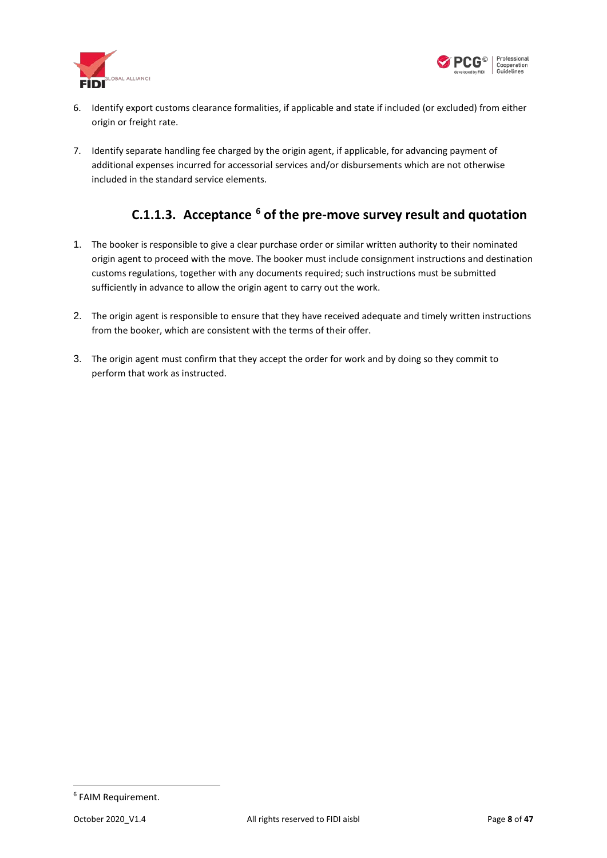



- 6. Identify export customs clearance formalities, if applicable and state if included (or excluded) from either origin or freight rate.
- <span id="page-7-0"></span>7. Identify separate handling fee charged by the origin agent, if applicable, for advancing payment of additional expenses incurred for accessorial services and/or disbursements which are not otherwise included in the standard service elements.

#### **C.1.1.3. Acceptance [6](#page-7-1) of the pre-move survey result and quotation**

- 1. The booker is responsible to give a clear purchase order or similar written authority to their nominated origin agent to proceed with the move. The booker must include consignment instructions and destination customs regulations, together with any documents required; such instructions must be submitted sufficiently in advance to allow the origin agent to carry out the work.
- 2. The origin agent is responsible to ensure that they have received adequate and timely written instructions from the booker, which are consistent with the terms of their offer.
- 3. The origin agent must confirm that they accept the order for work and by doing so they commit to perform that work as instructed.

<span id="page-7-1"></span> <sup>6</sup> FAIM Requirement.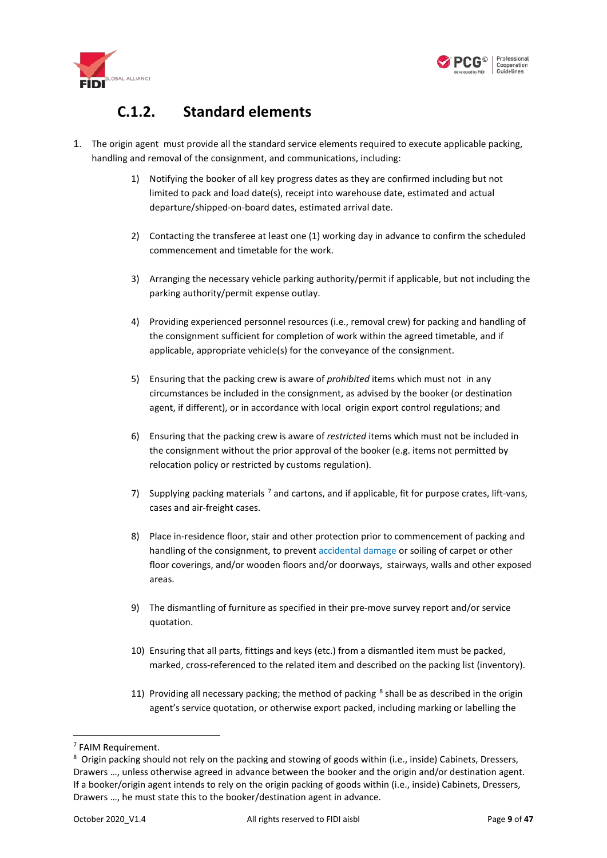



#### <span id="page-8-1"></span>**C.1.2. Standard elements**

- <span id="page-8-0"></span>1. The origin agent must provide all the standard service elements required to execute applicable packing, handling and removal of the consignment, and communications, including:
	- 1) Notifying the booker of all key progress dates as they are confirmed including but not limited to pack and load date(s), receipt into warehouse date, estimated and actual departure/shipped-on-board dates, estimated arrival date.
	- 2) Contacting the transferee at least one (1) working day in advance to confirm the scheduled commencement and timetable for the work.
	- 3) Arranging the necessary vehicle parking authority/permit if applicable, but not including the parking authority/permit expense outlay.
	- 4) Providing experienced personnel resources (i.e., removal crew) for packing and handling of the consignment sufficient for completion of work within the agreed timetable, and if applicable, appropriate vehicle(s) for the conveyance of the consignment.
	- 5) Ensuring that the packing crew is aware of *prohibited* items which must not in any circumstances be included in the consignment, as advised by the booker (or destination agent, if different), or in accordance with local origin export control regulations; and
	- 6) Ensuring that the packing crew is aware of *restricted* items which must not be included in the consignment without the prior approval of the booker (e.g. items not permitted by relocation policy or restricted by customs regulation).
	- [7](#page-8-2)) Supplying packing materials  $^7$  and cartons, and if applicable, fit for purpose crates, lift-vans, cases and air-freight cases.
	- 8) Place in-residence floor, stair and other protection prior to commencement of packing and handling of the consignment, to preven[t accidental damage](#page-42-1) or soiling of carpet or other floor coverings, and/or wooden floors and/or doorways, stairways, walls and other exposed areas.
	- 9) The dismantling of furniture as specified in their pre-move survey report and/or service quotation.
	- 10) Ensuring that all parts, fittings and keys (etc.) from a dismantled item must be packed, marked, cross-referenced to the related item and described on the packing list (inventory).
	- 11) Providing all necessary packing; the method of packing  $8$  shall be as described in the origin agent's service quotation, or otherwise export packed, including marking or labelling the

<span id="page-8-2"></span><sup>&</sup>lt;sup>7</sup> FAIM Requirement.

<span id="page-8-3"></span><sup>&</sup>lt;sup>8</sup> Origin packing should not rely on the packing and stowing of goods within (i.e., inside) Cabinets, Dressers, Drawers …, unless otherwise agreed in advance between the booker and the origin and/or destination agent. If a booker/origin agent intends to rely on the origin packing of goods within (i.e., inside) Cabinets, Dressers, Drawers …, he must state this to the booker/destination agent in advance.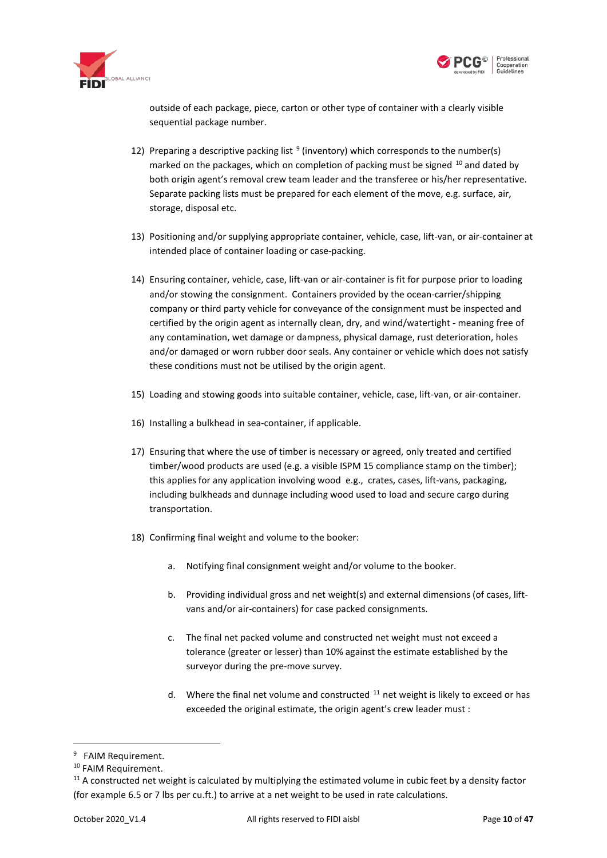



outside of each package, piece, carton or other type of container with a clearly visible sequential package number.

- 12) Preparing a descriptive packing list  $9$  (inventory) which corresponds to the number(s) marked on the packages, which on completion of packing must be signed  $10$  and dated by both origin agent's removal crew team leader and the transferee or his/her representative. Separate packing lists must be prepared for each element of the move, e.g. surface, air, storage, disposal etc.
- 13) Positioning and/or supplying appropriate container, vehicle, case, lift-van, or air-container at intended place of container loading or case-packing.
- <span id="page-9-3"></span>14) Ensuring container, vehicle, case, lift-van or air-container is fit for purpose prior to loading and/or stowing the consignment. Containers provided by the ocean-carrier/shipping company or third party vehicle for conveyance of the consignment must be inspected and certified by the origin agent as internally clean, dry, and wind/watertight - meaning free of any contamination, wet damage or dampness, physical damage, rust deterioration, holes and/or damaged or worn rubber door seals. Any container or vehicle which does not satisfy these conditions must not be utilised by the origin agent.
- 15) Loading and stowing goods into suitable container, vehicle, case, lift-van, or air-container.
- 16) Installing a bulkhead in sea-container, if applicable.
- 17) Ensuring that where the use of timber is necessary or agreed, only treated and certified timber/wood products are used (e.g. a visible ISPM 15 compliance stamp on the timber); this applies for any application involving wood e.g., crates, cases, lift-vans, packaging, including bulkheads and dunnage including wood used to load and secure cargo during transportation.
- 18) Confirming final weight and volume to the booker:
	- a. Notifying final consignment weight and/or volume to the booker.
	- b. Providing individual gross and net weight(s) and external dimensions (of cases, liftvans and/or air-containers) for case packed consignments.
	- c. The final net packed volume and constructed net weight must not exceed a tolerance (greater or lesser) than 10% against the estimate established by the surveyor during the pre-move survey.
	- d. Where the final net volume and constructed  $11$  net weight is likely to exceed or has exceeded the original estimate, the origin agent's crew leader must :

<span id="page-9-0"></span> <sup>9</sup> FAIM Requirement.

<span id="page-9-1"></span><sup>&</sup>lt;sup>10</sup> FAIM Requirement.

<span id="page-9-2"></span> $11$  A constructed net weight is calculated by multiplying the estimated volume in cubic feet by a density factor (for example 6.5 or 7 lbs per cu.ft.) to arrive at a net weight to be used in rate calculations.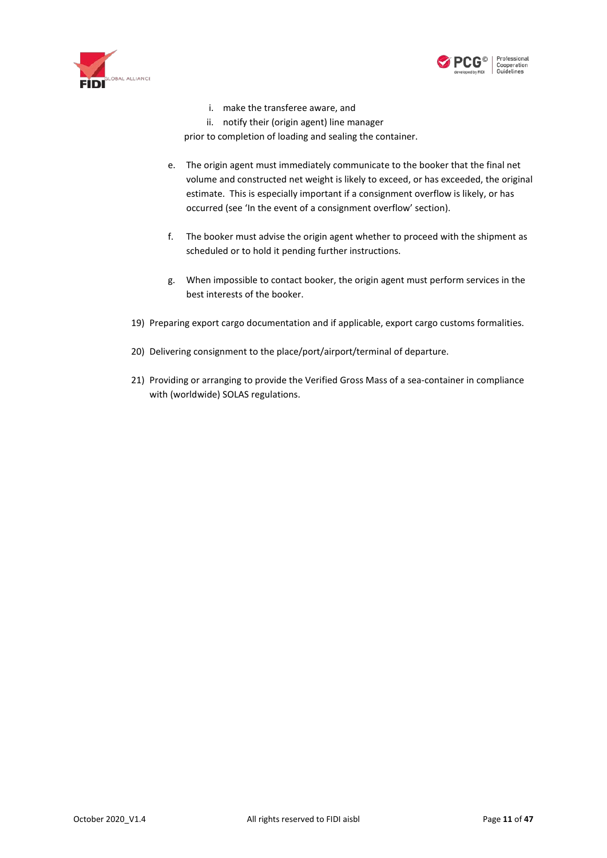



i. make the transferee aware, and

ii. notify their (origin agent) line manager

prior to completion of loading and sealing the container.

- e. The origin agent must immediately communicate to the booker that the final net volume and constructed net weight is likely to exceed, or has exceeded, the original estimate. This is especially important if a consignment overflow is likely, or has occurred (see 'In the event of a consignment overflow' section).
- f. The booker must advise the origin agent whether to proceed with the shipment as scheduled or to hold it pending further instructions.
- g. When impossible to contact booker, the origin agent must perform services in the best interests of the booker.
- 19) Preparing export cargo documentation and if applicable, export cargo customs formalities.
- 20) Delivering consignment to the place/port/airport/terminal of departure.
- 21) Providing or arranging to provide the Verified Gross Mass of a sea-container in compliance with (worldwide) SOLAS regulations.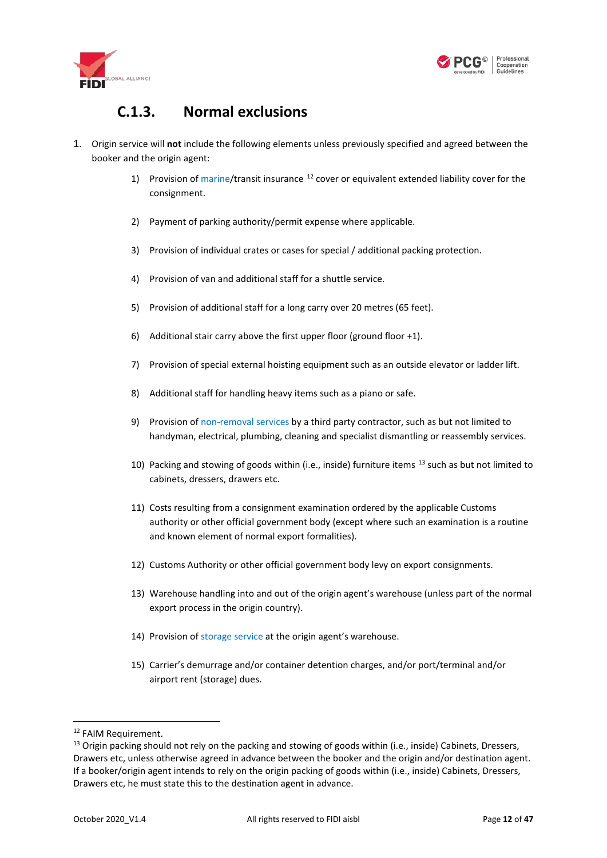



#### **C.1.3. Normal exclusions**

- <span id="page-11-0"></span>1. Origin service will **not** include the following elements unless previously specified and agreed between the booker and the origin agent:
	- 1) Provision of [marine/](#page-38-2)transit insurance  $12$  cover or equivalent extended liability cover for the consignment.
	- 2) Payment of parking authority/permit expense where applicable.
	- 3) Provision of individual crates or cases for special / additional packing protection.
	- 4) Provision of van and additional staff for a shuttle service.
	- 5) Provision of additional staff for a long carry over 20 metres (65 feet).
	- 6) Additional stair carry above the first upper floor (ground floor +1).
	- 7) Provision of special external hoisting equipment such as an outside elevator or ladder lift.
	- 8) Additional staff for handling heavy items such as a piano or safe.
	- 9) Provision of [non-removal](#page-33-0) services by a third party contractor, such as but not limited to handyman, electrical, plumbing, cleaning and specialist dismantling or reassembly services.
	- 10) Packing and stowing of goods within (i.e., inside) furniture items  $^{13}$  $^{13}$  $^{13}$  such as but not limited to cabinets, dressers, drawers etc.
	- 11) Costs resulting from a consignment examination ordered by the applicable Customs authority or other official government body (except where such an examination is a routine and known element of normal export formalities).
	- 12) Customs Authority or other official government body levy on export consignments.
	- 13) Warehouse handling into and out of the origin agent's warehouse (unless part of the normal export process in the origin country).
	- 14) Provision of [storage service](#page-27-0) at the origin agent's warehouse.
	- 15) Carrier's demurrage and/or container detention charges, and/or port/terminal and/or airport rent (storage) dues.

<span id="page-11-1"></span><sup>&</sup>lt;sup>12</sup> FAIM Requirement.

<span id="page-11-2"></span><sup>&</sup>lt;sup>13</sup> Origin packing should not rely on the packing and stowing of goods within (i.e., inside) Cabinets, Dressers, Drawers etc, unless otherwise agreed in advance between the booker and the origin and/or destination agent. If a booker/origin agent intends to rely on the origin packing of goods within (i.e., inside) Cabinets, Dressers, Drawers etc, he must state this to the destination agent in advance.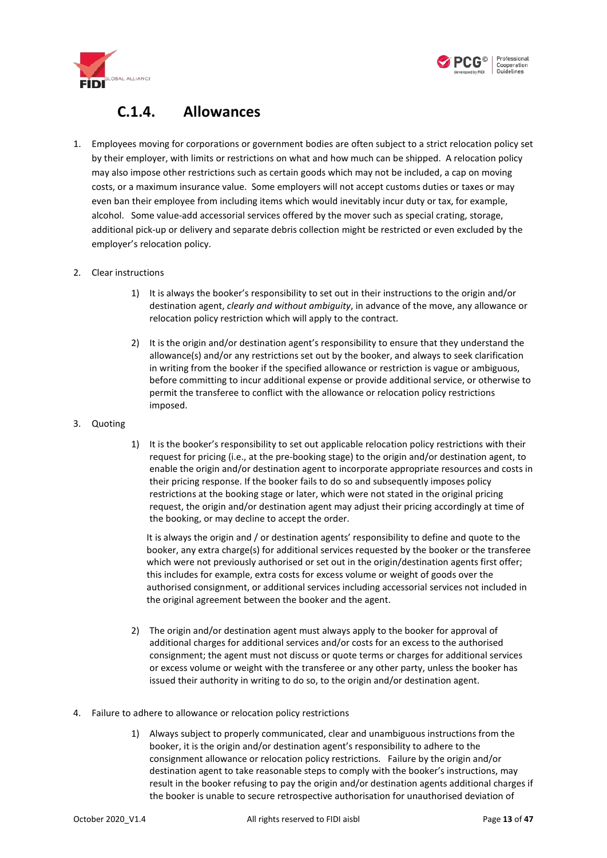



#### **C.1.4. Allowances**

<span id="page-12-0"></span>1. Employees moving for corporations or government bodies are often subject to a strict relocation policy set by their employer, with limits or restrictions on what and how much can be shipped. A relocation policy may also impose other restrictions such as certain goods which may not be included, a cap on moving costs, or a maximum insurance value. Some employers will not accept customs duties or taxes or may even ban their employee from including items which would inevitably incur duty or tax, for example, alcohol. Some value-add accessorial services offered by the mover such as special crating, storage, additional pick-up or delivery and separate debris collection might be restricted or even excluded by the employer's relocation policy.

#### 2. Clear instructions

- 1) It is always the booker's responsibility to set out in their instructions to the origin and/or destination agent, *clearly and without ambiguity*, in advance of the move, any allowance or relocation policy restriction which will apply to the contract.
- 2) It is the origin and/or destination agent's responsibility to ensure that they understand the allowance(s) and/or any restrictions set out by the booker, and always to seek clarification in writing from the booker if the specified allowance or restriction is vague or ambiguous, before committing to incur additional expense or provide additional service, or otherwise to permit the transferee to conflict with the allowance or relocation policy restrictions imposed.
- 3. Quoting
- 1) It is the booker's responsibility to set out applicable relocation policy restrictions with their request for pricing (i.e., at the pre-booking stage) to the origin and/or destination agent, to enable the origin and/or destination agent to incorporate appropriate resources and costs in their pricing response. If the booker fails to do so and subsequently imposes policy restrictions at the booking stage or later, which were not stated in the original pricing request, the origin and/or destination agent may adjust their pricing accordingly at time of the booking, or may decline to accept the order.

It is always the origin and / or destination agents' responsibility to define and quote to the booker, any extra charge(s) for additional services requested by the booker or the transferee which were not previously authorised or set out in the origin/destination agents first offer; this includes for example, extra costs for excess volume or weight of goods over the authorised consignment, or additional services including accessorial services not included in the original agreement between the booker and the agent.

- 2) The origin and/or destination agent must always apply to the booker for approval of additional charges for additional services and/or costs for an excess to the authorised consignment; the agent must not discuss or quote terms or charges for additional services or excess volume or weight with the transferee or any other party, unless the booker has issued their authority in writing to do so, to the origin and/or destination agent.
- 4. Failure to adhere to allowance or relocation policy restrictions
	- 1) Always subject to properly communicated, clear and unambiguous instructions from the booker, it is the origin and/or destination agent's responsibility to adhere to the consignment allowance or relocation policy restrictions. Failure by the origin and/or destination agent to take reasonable steps to comply with the booker's instructions, may result in the booker refusing to pay the origin and/or destination agents additional charges if the booker is unable to secure retrospective authorisation for unauthorised deviation of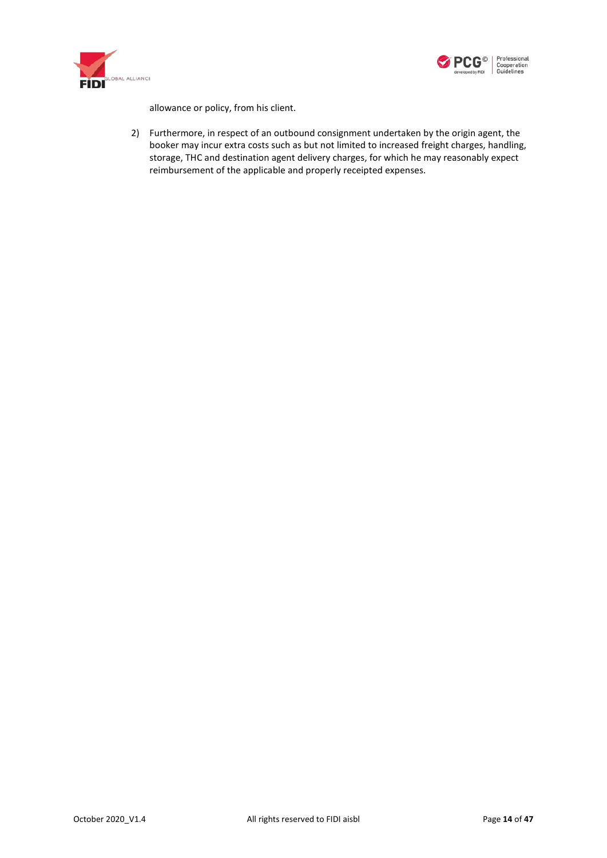



allowance or policy, from his client.

2) Furthermore, in respect of an outbound consignment undertaken by the origin agent, the booker may incur extra costs such as but not limited to increased freight charges, handling, storage, THC and destination agent delivery charges, for which he may reasonably expect reimbursement of the applicable and properly receipted expenses.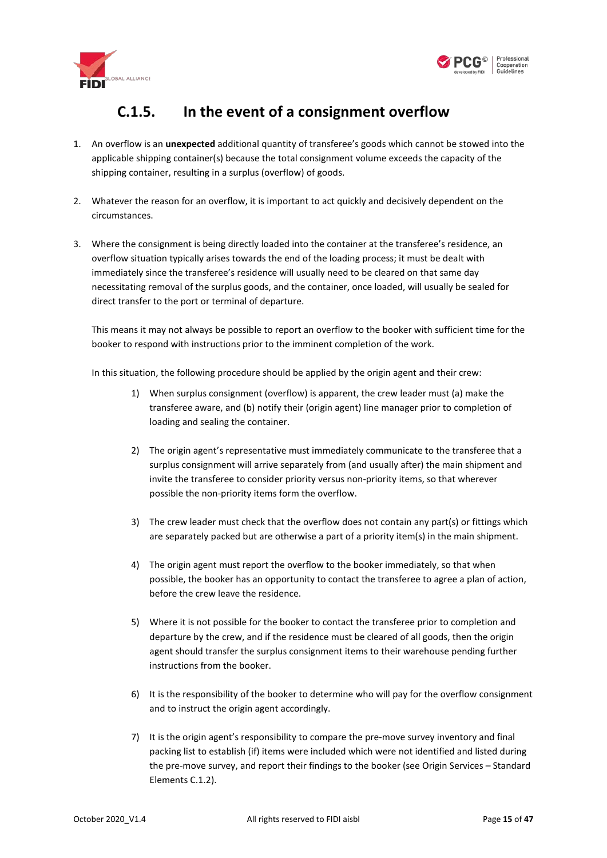



### **C.1.5. In the event of a consignment overflow**

- <span id="page-14-0"></span>1. An overflow is an **unexpected** additional quantity of transferee's goods which cannot be stowed into the applicable shipping container(s) because the total consignment volume exceeds the capacity of the shipping container, resulting in a surplus (overflow) of goods.
- 2. Whatever the reason for an overflow, it is important to act quickly and decisively dependent on the circumstances.
- 3. Where the consignment is being directly loaded into the container at the transferee's residence, an overflow situation typically arises towards the end of the loading process; it must be dealt with immediately since the transferee's residence will usually need to be cleared on that same day necessitating removal of the surplus goods, and the container, once loaded, will usually be sealed for direct transfer to the port or terminal of departure.

This means it may not always be possible to report an overflow to the booker with sufficient time for the booker to respond with instructions prior to the imminent completion of the work.

In this situation, the following procedure should be applied by the origin agent and their crew:

- 1) When surplus consignment (overflow) is apparent, the crew leader must (a) make the transferee aware, and (b) notify their (origin agent) line manager prior to completion of loading and sealing the container.
- 2) The origin agent's representative must immediately communicate to the transferee that a surplus consignment will arrive separately from (and usually after) the main shipment and invite the transferee to consider priority versus non-priority items, so that wherever possible the non-priority items form the overflow.
- 3) The crew leader must check that the overflow does not contain any part(s) or fittings which are separately packed but are otherwise a part of a priority item(s) in the main shipment.
- 4) The origin agent must report the overflow to the booker immediately, so that when possible, the booker has an opportunity to contact the transferee to agree a plan of action, before the crew leave the residence.
- 5) Where it is not possible for the booker to contact the transferee prior to completion and departure by the crew, and if the residence must be cleared of all goods, then the origin agent should transfer the surplus consignment items to their warehouse pending further instructions from the booker.
- 6) It is the responsibility of the booker to determine who will pay for the overflow consignment and to instruct the origin agent accordingly.
- 7) It is the origin agent's responsibility to compare the pre-move survey inventory and final packing list to establish (if) items were included which were not identified and listed during the pre-move survey, and report their findings to the booker (see Origin Services – Standard Element[s C.1.2\)](#page-8-0).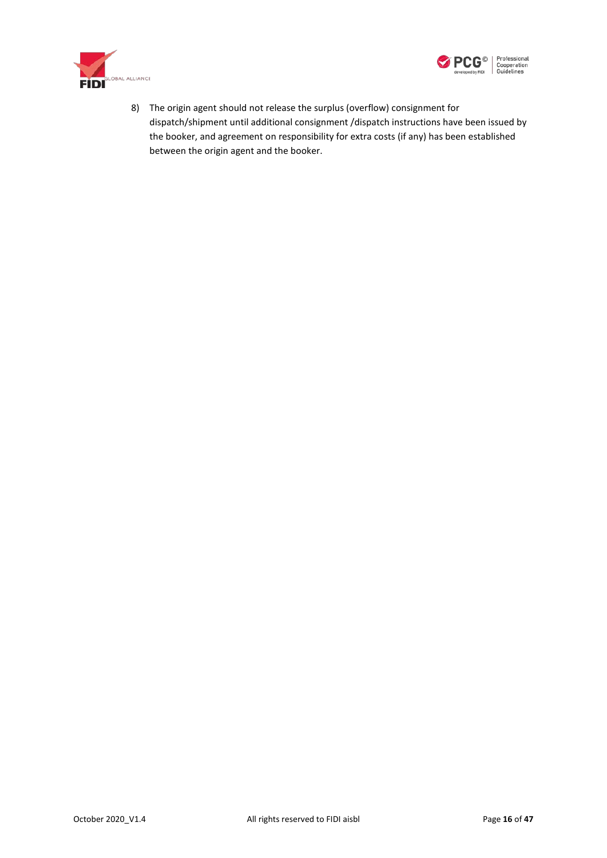



8) The origin agent should not release the surplus (overflow) consignment for dispatch/shipment until additional consignment /dispatch instructions have been issued by the booker, and agreement on responsibility for extra costs (if any) has been established between the origin agent and the booker.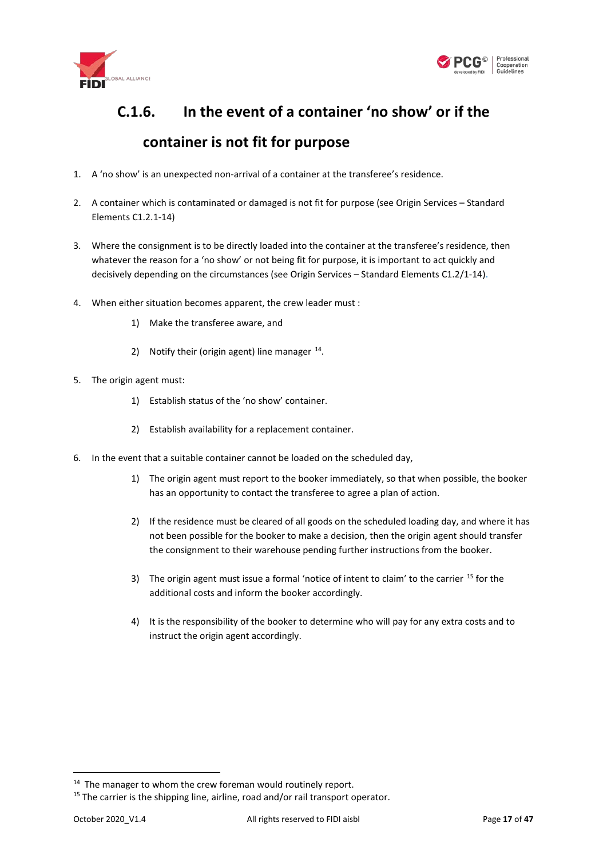



# <span id="page-16-0"></span>**C.1.6. In the event of a container 'no show' or if the container is not fit for purpose**

- 1. A 'no show' is an unexpected non-arrival of a container at the transferee's residence.
- 2. A container which is contaminated or damaged is not fit for purpose (see Origin Services Standard Elements C1.2.1[-14\)](#page-9-3)
- 3. Where the consignment is to be directly loaded into the container at the transferee's residence, then whatever the reason for a 'no show' or not being fit for purpose, it is important to act quickly and decisively depending on the circumstances (see Origin Services – Standard Elements C1.2/1[-14\).](#page-9-3)
- 4. When either situation becomes apparent, the crew leader must :
	- 1) Make the transferee aware, and
	- 2) Notify their (origin agent) line manager  $^{14}$  $^{14}$  $^{14}$ .
- 5. The origin agent must:
	- 1) Establish status of the 'no show' container.
	- 2) Establish availability for a replacement container.
- 6. In the event that a suitable container cannot be loaded on the scheduled day,
	- 1) The origin agent must report to the booker immediately, so that when possible, the booker has an opportunity to contact the transferee to agree a plan of action.
	- 2) If the residence must be cleared of all goods on the scheduled loading day, and where it has not been possible for the booker to make a decision, then the origin agent should transfer the consignment to their warehouse pending further instructions from the booker.
	- 3) The origin agent must issue a formal 'notice of intent to claim' to the carrier <sup>[15](#page-16-2)</sup> for the additional costs and inform the booker accordingly.
	- 4) It is the responsibility of the booker to determine who will pay for any extra costs and to instruct the origin agent accordingly.

<span id="page-16-1"></span><sup>&</sup>lt;sup>14</sup> The manager to whom the crew foreman would routinely report.

<span id="page-16-2"></span><sup>&</sup>lt;sup>15</sup> The carrier is the shipping line, airline, road and/or rail transport operator.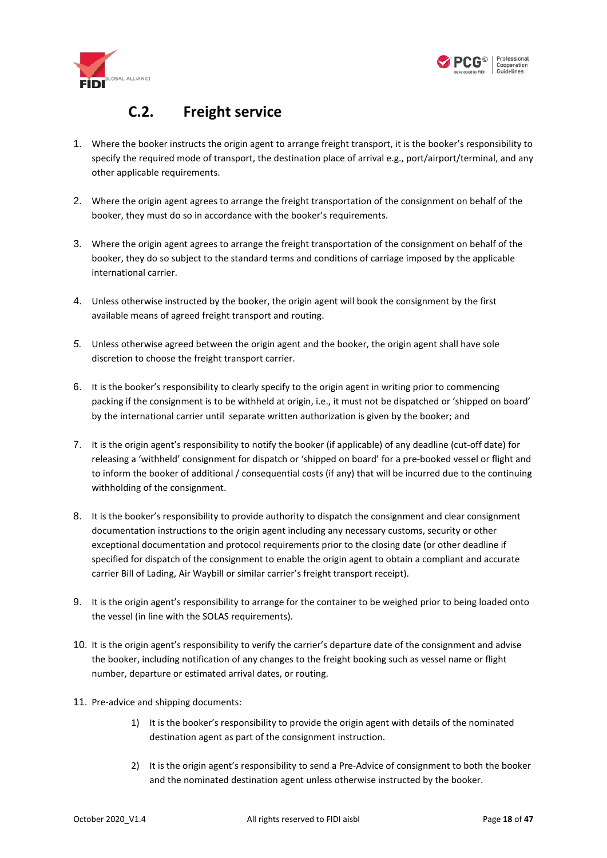



#### **C.2. Freight service**

- <span id="page-17-0"></span>1. Where the booker instructs the origin agent to arrange freight transport, it is the booker's responsibility to specify the required mode of transport, the destination place of arrival e.g., port/airport/terminal, and any other applicable requirements.
- 2. Where the origin agent agrees to arrange the freight transportation of the consignment on behalf of the booker, they must do so in accordance with the booker's requirements.
- 3. Where the origin agent agrees to arrange the freight transportation of the consignment on behalf of the booker, they do so subject to the standard terms and conditions of carriage imposed by the applicable international carrier.
- 4. Unless otherwise instructed by the booker, the origin agent will book the consignment by the first available means of agreed freight transport and routing.
- *5.* Unless otherwise agreed between the origin agent and the booker, the origin agent shall have sole discretion to choose the freight transport carrier.
- 6. It is the booker's responsibility to clearly specify to the origin agent in writing prior to commencing packing if the consignment is to be withheld at origin, i.e., it must not be dispatched or 'shipped on board' by the international carrier until separate written authorization is given by the booker; and
- 7. It is the origin agent's responsibility to notify the booker (if applicable) of any deadline (cut-off date) for releasing a 'withheld' consignment for dispatch or 'shipped on board' for a pre-booked vessel or flight and to inform the booker of additional / consequential costs (if any) that will be incurred due to the continuing withholding of the consignment.
- 8. It is the booker's responsibility to provide authority to dispatch the consignment and clear consignment documentation instructions to the origin agent including any necessary customs, security or other exceptional documentation and protocol requirements prior to the closing date (or other deadline if specified for dispatch of the consignment to enable the origin agent to obtain a compliant and accurate carrier Bill of Lading, Air Waybill or similar carrier's freight transport receipt).
- 9. It is the origin agent's responsibility to arrange for the container to be weighed prior to being loaded onto the vessel (in line with the SOLAS requirements).
- 10. It is the origin agent's responsibility to verify the carrier's departure date of the consignment and advise the booker, including notification of any changes to the freight booking such as vessel name or flight number, departure or estimated arrival dates, or routing.
- 11. Pre-advice and shipping documents:
	- 1) It is the booker's responsibility to provide the origin agent with details of the nominated destination agent as part of the consignment instruction.
	- 2) It is the origin agent's responsibility to send a Pre-Advice of consignment to both the booker and the nominated destination agent unless otherwise instructed by the booker.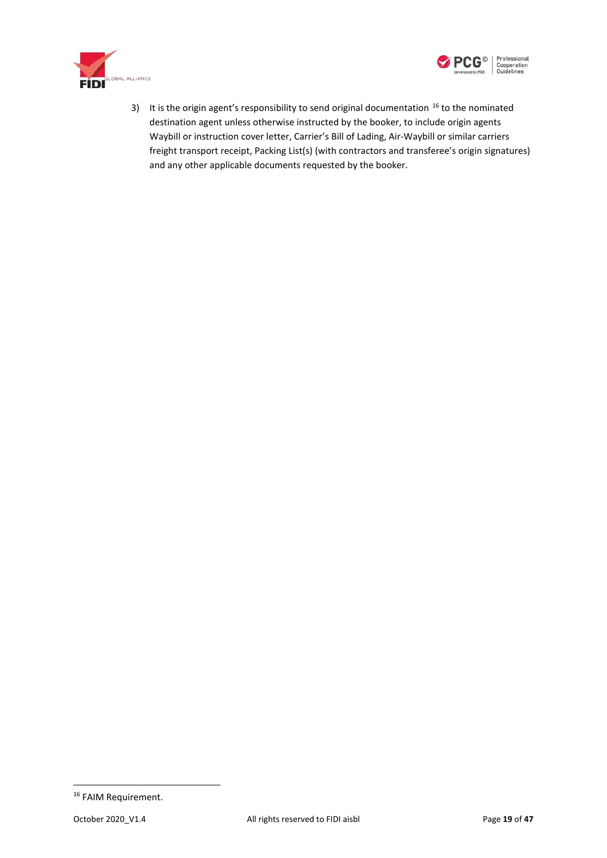



3) It is the origin agent's responsibility to send original documentation  $16$  to the nominated destination agent unless otherwise instructed by the booker, to include origin agents Waybill or instruction cover letter, Carrier's Bill of Lading, Air-Waybill or similar carriers freight transport receipt, Packing List(s) (with contractors and transferee's origin signatures) and any other applicable documents requested by the booker.

<span id="page-18-0"></span><sup>&</sup>lt;sup>16</sup> FAIM Requirement.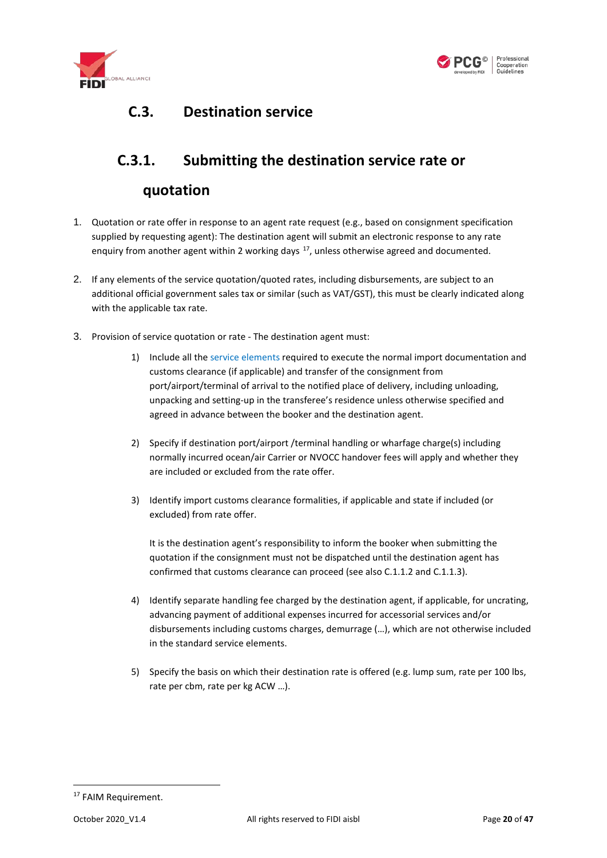



### <span id="page-19-0"></span>**C.3. Destination service**

#### <span id="page-19-1"></span>**C.3.1. Submitting the destination service rate or**

#### **quotation**

- 1. Quotation or rate offer in response to an agent rate request (e.g., based on consignment specification supplied by requesting agent): The destination agent will submit an electronic response to any rate enquiry from another agent within 2 working days <sup>17</sup>, unless otherwise agreed and documented.
- 2. If any elements of the service quotation/quoted rates, including disbursements, are subject to an additional official government sales tax or similar (such as VAT/GST), this must be clearly indicated along with the applicable tax rate.
- 3. Provision of service quotation or rate The destination agent must:
	- 1) Include all th[e service elements](#page-21-0) required to execute the normal import documentation and customs clearance (if applicable) and transfer of the consignment from port/airport/terminal of arrival to the notified place of delivery, including unloading, unpacking and setting-up in the transferee's residence unless otherwise specified and agreed in advance between the booker and the destination agent.
	- 2) Specify if destination port/airport /terminal handling or wharfage charge(s) including normally incurred ocean/air Carrier or NVOCC handover fees will apply and whether they are included or excluded from the rate offer.
	- 3) Identify import customs clearance formalities, if applicable and state if included (or excluded) from rate offer.

It is the destination agent's responsibility to inform the booker when submitting the quotation if the consignment must not be dispatched until the destination agent has confirmed that customs clearance can proceed (see also [C.1.1.2](#page-6-0) and [C.1.1.3\)](#page-7-0).

- 4) Identify separate handling fee charged by the destination agent, if applicable, for uncrating, advancing payment of additional expenses incurred fo[r accessorial](#page-33-0) services and/or disbursements including customs charges, demurrage (…), which are not otherwise included in the standard service elements.
- 5) Specify the basis on which their destination rate is offered (e.g. lump sum, rate per 100 lbs, rate per cbm, rate per kg ACW …).

<span id="page-19-2"></span><sup>&</sup>lt;sup>17</sup> FAIM Requirement.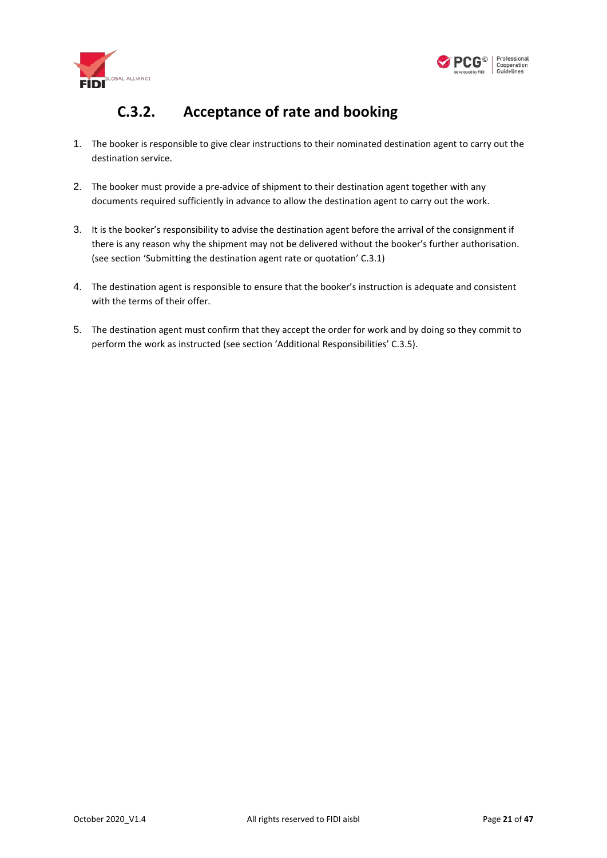



### **C.3.2. Acceptance of rate and booking**

- <span id="page-20-0"></span>1. The booker is responsible to give clear instructions to their nominated destination agent to carry out the destination service.
- 2. The booker must provide a pre-advice of shipment to their destination agent together with any documents required sufficiently in advance to allow the destination agent to carry out the work.
- 3. It is the booker's responsibility to advise the destination agent before the arrival of the consignment if there is any reason why the shipment may not be delivered without the booker's further authorisation. (see section 'Submitting the destination agent rate or quotation' [C.3.1\)](#page-19-1)
- 4. The destination agent is responsible to ensure that the booker's instruction is adequate and consistent with the terms of their offer.
- 5. The destination agent must confirm that they accept the order for work and by doing so they commit to perform the work as instructed (see section 'Additional Responsibilities' [C.3.5\)](#page-25-0).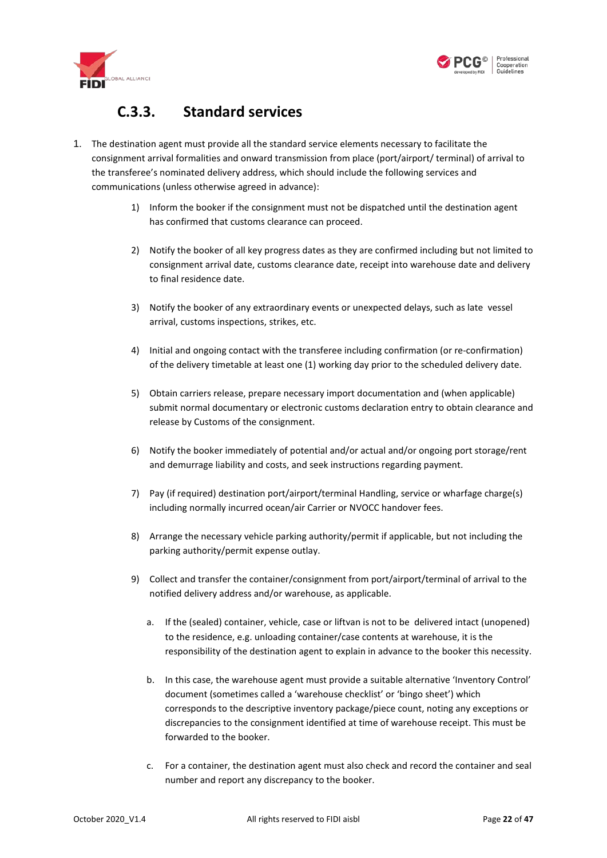



#### **C.3.3. Standard services**

- <span id="page-21-0"></span>1. The destination agent must provide all the standard service elements necessary to facilitate the consignment arrival formalities and onward transmission from place (port/airport/ terminal) of arrival to the transferee's nominated delivery address, which should include the following services and communications (unless otherwise agreed in advance):
	- 1) Inform the booker if the consignment must not be dispatched until the destination agent has confirmed that customs clearance can proceed.
	- 2) Notify the booker of all key progress dates as they are confirmed including but not limited to consignment arrival date, customs clearance date, receipt into warehouse date and delivery to final residence date.
	- 3) Notify the booker of any extraordinary events or unexpected delays, such as late vessel arrival, customs inspections, strikes, etc.
	- 4) Initial and ongoing contact with the transferee including confirmation (or re-confirmation) of the delivery timetable at least one (1) working day prior to the scheduled delivery date.
	- 5) Obtain carriers release, prepare necessary import documentation and (when applicable) submit normal documentary or electronic customs declaration entry to obtain clearance and release by Customs of the consignment.
	- 6) Notify the booker immediately of potential and/or actual and/or ongoing port storage/rent and demurrage liability and costs, and seek instructions regarding payment.
	- 7) Pay (if required) destination port/airport/terminal Handling, service or wharfage charge(s) including normally incurred ocean/air Carrier or NVOCC handover fees.
	- 8) Arrange the necessary vehicle parking authority/permit if applicable, but not including the parking authority/permit expense outlay.
	- 9) Collect and transfer the container/consignment from port/airport/terminal of arrival to the notified delivery address and/or warehouse, as applicable.
		- a. If the (sealed) container, vehicle, case or liftvan is not to be delivered intact (unopened) to the residence, e.g. unloading container/case contents at warehouse, it is the responsibility of the destination agent to explain in advance to the booker this necessity.
		- b. In this case, the warehouse agent must provide a suitable alternative 'Inventory Control' document (sometimes called a 'warehouse checklist' or 'bingo sheet') which corresponds to the descriptive inventory package/piece count, noting any exceptions or discrepancies to the consignment identified at time of warehouse receipt. This must be forwarded to the booker.
		- c. For a container, the destination agent must also check and record the container and seal number and report any discrepancy to the booker.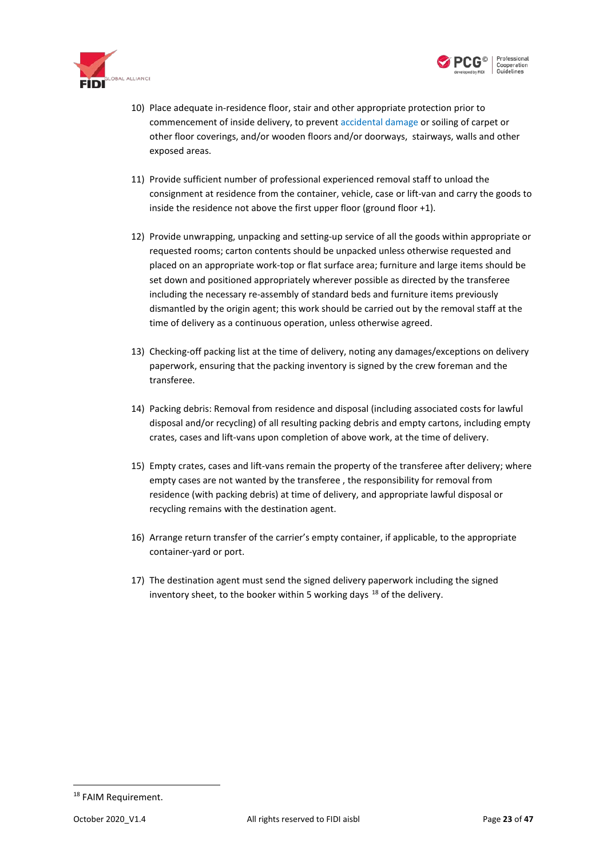



- 10) Place adequate in-residence floor, stair and other appropriate protection prior to commencement of inside delivery, to preven[t accidental damage](#page-42-1) or soiling of carpet or other floor coverings, and/or wooden floors and/or doorways, stairways, walls and other exposed areas.
- 11) Provide sufficient number of professional experienced removal staff to unload the consignment at residence from the container, vehicle, case or lift-van and carry the goods to inside the residence not above the first upper floor (ground floor +1).
- 12) Provide unwrapping, unpacking and setting-up service of all the goods within appropriate or requested rooms; carton contents should be unpacked unless otherwise requested and placed on an appropriate work-top or flat surface area; furniture and large items should be set down and positioned appropriately wherever possible as directed by the transferee including the necessary re-assembly of standard beds and furniture items previously dismantled by the origin agent; this work should be carried out by the removal staff at the time of delivery as a continuous operation, unless otherwise agreed.
- 13) Checking-off packing list at the time of delivery, noting any damages/exceptions on delivery paperwork, ensuring that the packing inventory is signed by the crew foreman and the transferee.
- 14) Packing debris: Removal from residence and disposal (including associated costs for lawful disposal and/or recycling) of all resulting packing debris and empty cartons, including empty crates, cases and lift-vans upon completion of above work, at the time of delivery.
- 15) Empty crates, cases and lift-vans remain the property of the transferee after delivery; where empty cases are not wanted by the transferee , the responsibility for removal from residence (with packing debris) at time of delivery, and appropriate lawful disposal or recycling remains with the destination agent.
- 16) Arrange return transfer of the carrier's empty container, if applicable, to the appropriate container-yard or port.
- <span id="page-22-1"></span>17) The destination agent must send the signed delivery paperwork including the signed inventory sheet, to the booker within 5 working days  $18$  of the delivery.

<span id="page-22-0"></span><sup>&</sup>lt;sup>18</sup> FAIM Requirement.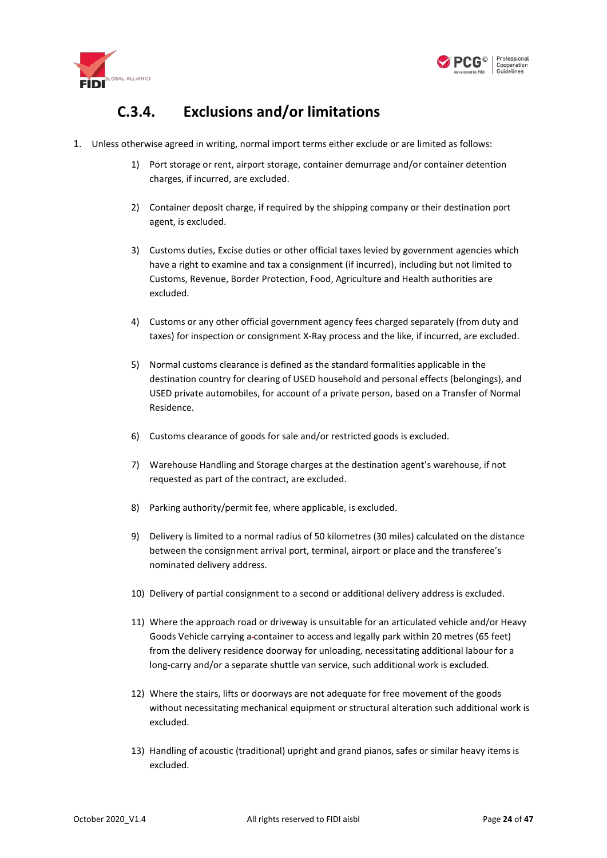



### **C.3.4. Exclusions and/or limitations**

- <span id="page-23-0"></span>1. Unless otherwise agreed in writing, normal import terms either exclude or are limited as follows:
	- 1) Port storage or rent, airport storage, container demurrage and/or container detention charges, if incurred, are excluded.
	- 2) Container deposit charge, if required by the shipping company or their destination port agent, is excluded.
	- 3) Customs duties, Excise duties or other official taxes levied by government agencies which have a right to examine and tax a consignment (if incurred), including but not limited to Customs, Revenue, Border Protection, Food, Agriculture and Health authorities are excluded.
	- 4) Customs or any other official government agency fees charged separately (from duty and taxes) for inspection or consignment X-Ray process and the like, if incurred, are excluded.
	- 5) Normal customs clearance is defined as the standard formalities applicable in the destination country for clearing of USED household and personal effects (belongings), and USED private automobiles, for account of a private person, based on a Transfer of Normal Residence.
	- 6) Customs clearance of goods for sale and/or restricted goods is excluded.
	- 7) Warehouse Handling and Storage charges at the destination agent's warehouse, if not requested as part of the contract, are excluded.
	- 8) Parking authority/permit fee, where applicable, is excluded.
	- 9) Delivery is limited to a normal radius of 50 kilometres (30 miles) calculated on the distance between the consignment arrival port, terminal, airport or place and the transferee's nominated delivery address.
	- 10) Delivery of partial consignment to a second or additional delivery address is excluded.
	- 11) Where the approach road or driveway is unsuitable for an articulated vehicle and/or Heavy Goods Vehicle carrying a container to access and legally park within 20 metres (65 feet) from the delivery residence doorway for unloading, necessitating additional labour for a long-carry and/or a separate shuttle van service, such additional work is excluded.
	- 12) Where the stairs, lifts or doorways are not adequate for free movement of the goods without necessitating mechanical equipment or structural alteration such additional work is excluded.
	- 13) Handling of acoustic (traditional) upright and grand pianos, safes or similar heavy items is excluded.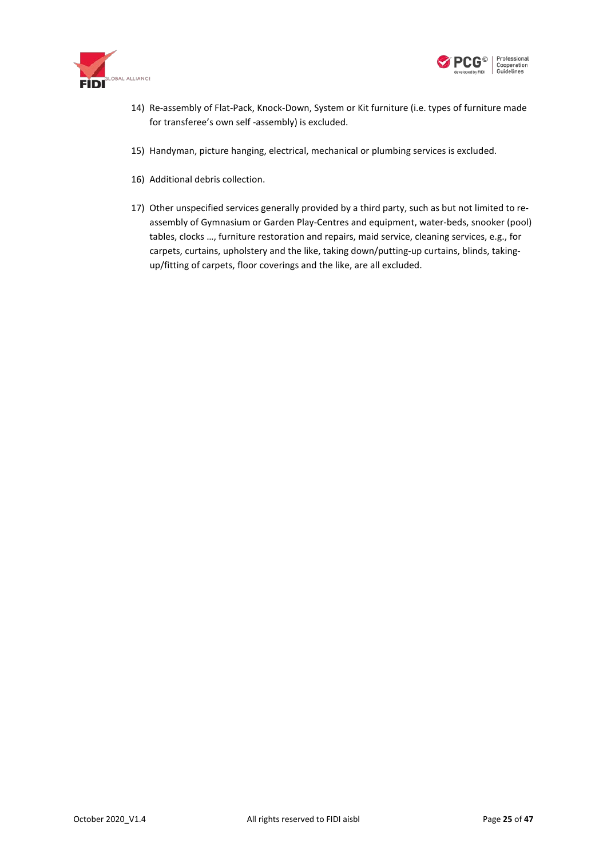



- 14) Re-assembly of Flat-Pack, Knock-Down, System or Kit furniture (i.e. types of furniture made for transferee's own self -assembly) is excluded.
- 15) Handyman, picture hanging, electrical, mechanical or plumbing services is excluded.
- 16) Additional debris collection.
- 17) Other unspecified services generally provided by a third party, such as but not limited to reassembly of Gymnasium or Garden Play-Centres and equipment, water-beds, snooker (pool) tables, clocks …, furniture restoration and repairs, maid service, cleaning services, e.g., for carpets, curtains, upholstery and the like, taking down/putting-up curtains, blinds, takingup/fitting of carpets, floor coverings and the like, are all excluded.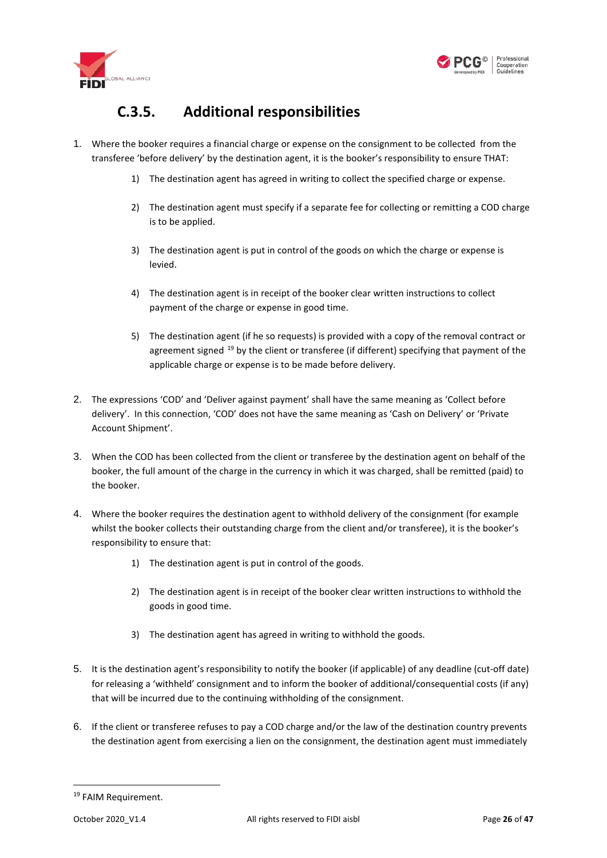



### **C.3.5. Additional responsibilities**

- <span id="page-25-0"></span>1. Where the booker requires a financial charge or expense on the consignment to be collected from the transferee 'before delivery' by the destination agent, it is the booker's responsibility to ensure THAT:
	- 1) The destination agent has agreed in writing to collect the specified charge or expense.
	- 2) The destination agent must specify if a separate fee for collecting or remitting a COD charge is to be applied.
	- 3) The destination agent is put in control of the goods on which the charge or expense is levied.
	- 4) The destination agent is in receipt of the booker clear written instructions to collect payment of the charge or expense in good time.
	- 5) The destination agent (if he so requests) is provided with a copy of the removal contract or agreement signed <sup>[19](#page-25-1)</sup> by the client or transferee (if different) specifying that payment of the applicable charge or expense is to be made before delivery.
- 2. The expressions 'COD' and 'Deliver against payment' shall have the same meaning as 'Collect before delivery'. In this connection, 'COD' does not have the same meaning as 'Cash on Delivery' or 'Private Account Shipment'.
- 3. When the COD has been collected from the client or transferee by the destination agent on behalf of the booker, the full amount of the charge in the currency in which it was charged, shall be remitted (paid) to the booker.
- 4. Where the booker requires the destination agent to withhold delivery of the consignment (for example whilst the booker collects their outstanding charge from the client and/or transferee), it is the booker's responsibility to ensure that:
	- 1) The destination agent is put in control of the goods.
	- 2) The destination agent is in receipt of the booker clear written instructions to withhold the goods in good time.
	- 3) The destination agent has agreed in writing to withhold the goods.
- 5. It is the destination agent's responsibility to notify the booker (if applicable) of any deadline (cut-off date) for releasing a 'withheld' consignment and to inform the booker of additional/consequential costs (if any) that will be incurred due to the continuing withholding of the consignment.
- 6. If the client or transferee refuses to pay a COD charge and/or the law of the destination country prevents the destination agent from exercising a lien on the consignment, the destination agent must immediately

<span id="page-25-1"></span> <sup>19</sup> FAIM Requirement.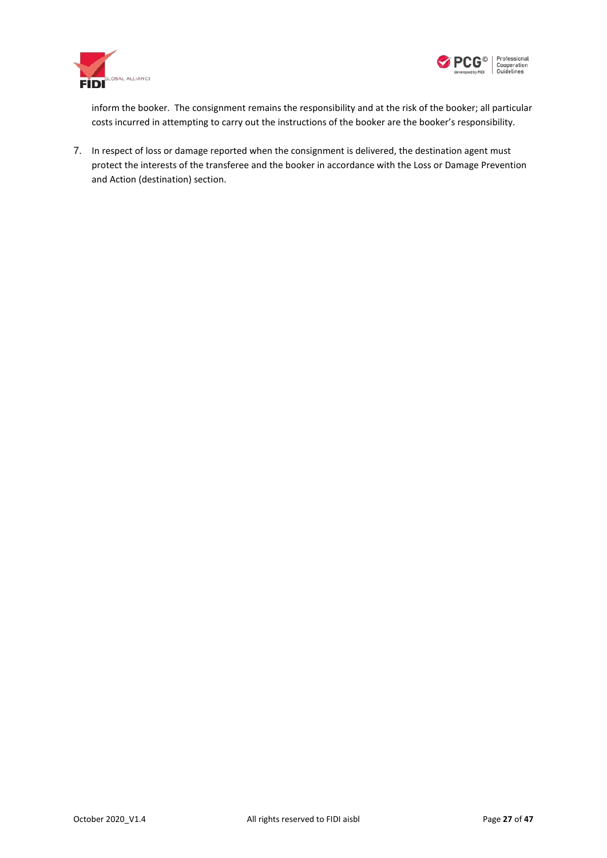



inform the booker. The consignment remains the responsibility and at the risk of the booker; all particular costs incurred in attempting to carry out the instructions of the booker are the booker's responsibility.

7. In respect of loss or damage reported when the consignment is delivered, the destination agent must protect the interests of the transferee and the booker in accordance with the [Loss or Damage Prevention](#page-43-0)  [and Action \(destination\)](#page-43-0) section.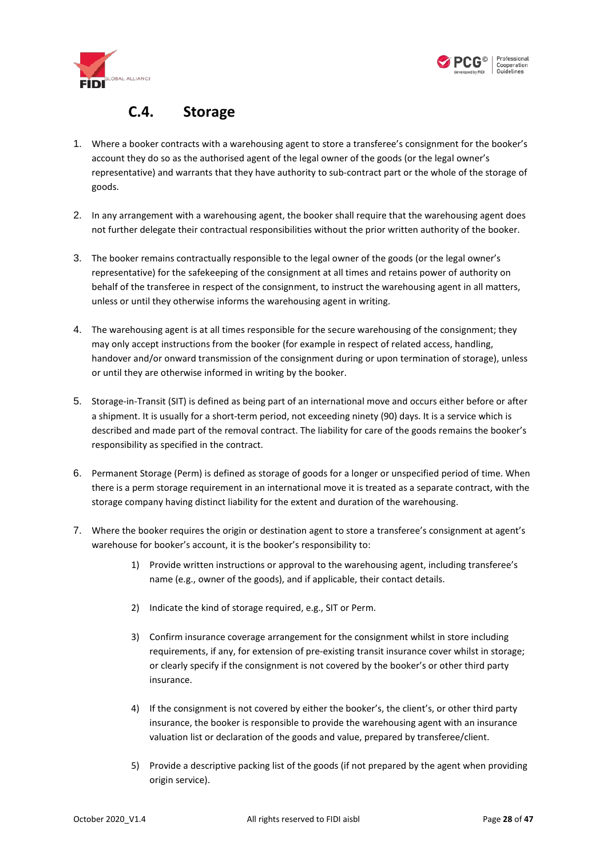



#### **C.4. Storage**

- <span id="page-27-0"></span>1. Where a booker contracts with a warehousing agent to store a transferee's consignment for the booker's account they do so as the authorised agent of the legal owner of the goods (or the legal owner's representative) and warrants that they have authority to sub-contract part or the whole of the storage of goods.
- 2. In any arrangement with a warehousing agent, the booker shall require that the warehousing agent does not further delegate their contractual responsibilities without the prior written authority of the booker.
- 3. The booker remains contractually responsible to the legal owner of the goods (or the legal owner's representative) for the safekeeping of the consignment at all times and retains power of authority on behalf of the transferee in respect of the consignment, to instruct the warehousing agent in all matters, unless or until they otherwise informs the warehousing agent in writing.
- 4. The warehousing agent is at all times responsible for the secure warehousing of the consignment; they may only accept instructions from the booker (for example in respect of related access, handling, handover and/or onward transmission of the consignment during or upon termination of storage), unless or until they are otherwise informed in writing by the booker.
- 5. Storage-in-Transit (SIT) is defined as being part of an international move and occurs either before or after a shipment. It is usually for a short-term period, not exceeding ninety (90) days. It is a service which is described and made part of the removal contract. The liability for care of the goods remains the booker's responsibility as specified in the contract.
- 6. Permanent Storage (Perm) is defined as storage of goods for a longer or unspecified period of time. When there is a perm storage requirement in an international move it is treated as a separate contract, with the storage company having distinct liability for the extent and duration of the warehousing.
- 7. Where the booker requires the origin or destination agent to store a transferee's consignment at agent's warehouse for booker's account, it is the booker's responsibility to:
	- 1) Provide written instructions or approval to the warehousing agent, including transferee's name (e.g., owner of the goods), and if applicable, their contact details.
	- 2) Indicate the kind of storage required, e.g., SIT or Perm.
	- 3) Confirm insurance coverage arrangement for the consignment whilst in store including requirements, if any, for extension of pre-existing transit insurance cover whilst in storage; or clearly specify if the consignment is not covered by the booker's or other third party insurance.
	- 4) If the consignment is not covered by either the booker's, the client's, or other third party insurance, the booker is responsible to provide the warehousing agent with an insurance valuation list or declaration of the goods and value, prepared by transferee/client.
	- 5) Provide a descriptive packing list of the goods (if not prepared by the agent when providing origin service).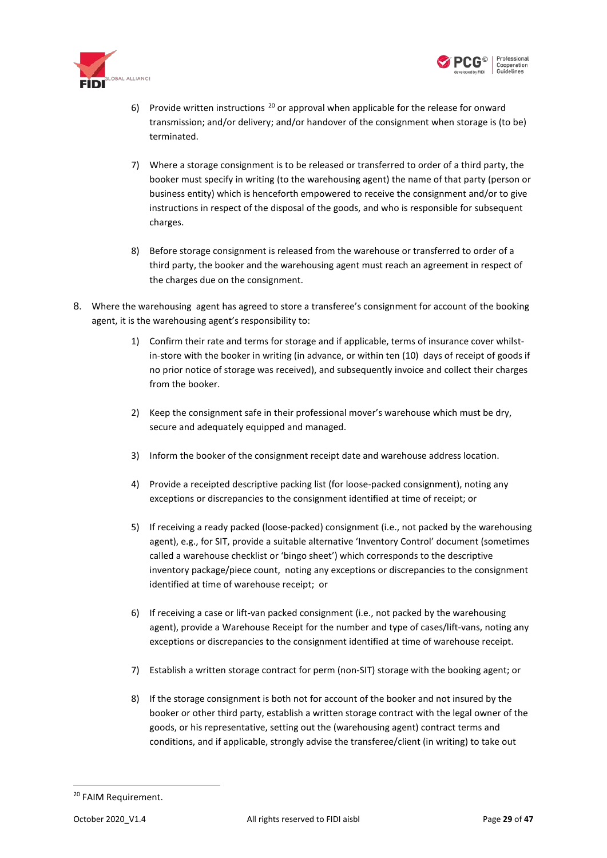



- 6) Provide written instructions  $^{20}$  $^{20}$  $^{20}$  or approval when applicable for the release for onward transmission; and/or delivery; and/or handover of the consignment when storage is (to be) terminated.
- 7) Where a storage consignment is to be released or transferred to order of a third party, the booker must specify in writing (to the warehousing agent) the name of that party (person or business entity) which is henceforth empowered to receive the consignment and/or to give instructions in respect of the disposal of the goods, and who is responsible for subsequent charges.
- 8) Before storage consignment is released from the warehouse or transferred to order of a third party, the booker and the warehousing agent must reach an agreement in respect of the charges due on the consignment.
- 8. Where the warehousing agent has agreed to store a transferee's consignment for account of the booking agent, it is the warehousing agent's responsibility to:
	- 1) Confirm their rate and terms for storage and if applicable, terms of insurance cover whilstin-store with the booker in writing (in advance, or within ten (10) days of receipt of goods if no prior notice of storage was received), and subsequently invoice and collect their charges from the booker.
	- 2) Keep the consignment safe in their professional mover's warehouse which must be dry, secure and adequately equipped and managed.
	- 3) Inform the booker of the consignment receipt date and warehouse address location.
	- 4) Provide a receipted descriptive packing list (for loose-packed consignment), noting any exceptions or discrepancies to the consignment identified at time of receipt; or
	- 5) If receiving a ready packed (loose-packed) consignment (i.e., not packed by the warehousing agent), e.g., for SIT, provide a suitable alternative 'Inventory Control' document (sometimes called a warehouse checklist or 'bingo sheet') which corresponds to the descriptive inventory package/piece count, noting any exceptions or discrepancies to the consignment identified at time of warehouse receipt; or
	- 6) If receiving a case or lift-van packed consignment (i.e., not packed by the warehousing agent), provide a Warehouse Receipt for the number and type of cases/lift-vans, noting any exceptions or discrepancies to the consignment identified at time of warehouse receipt.
	- 7) Establish a written storage contract for perm (non-SIT) storage with the booking agent; or
	- 8) If the storage consignment is both not for account of the booker and not insured by the booker or other third party, establish a written storage contract with the legal owner of the goods, or his representative, setting out the (warehousing agent) contract terms and conditions, and if applicable, strongly advise the transferee/client (in writing) to take out

<span id="page-28-0"></span> <sup>20</sup> FAIM Requirement.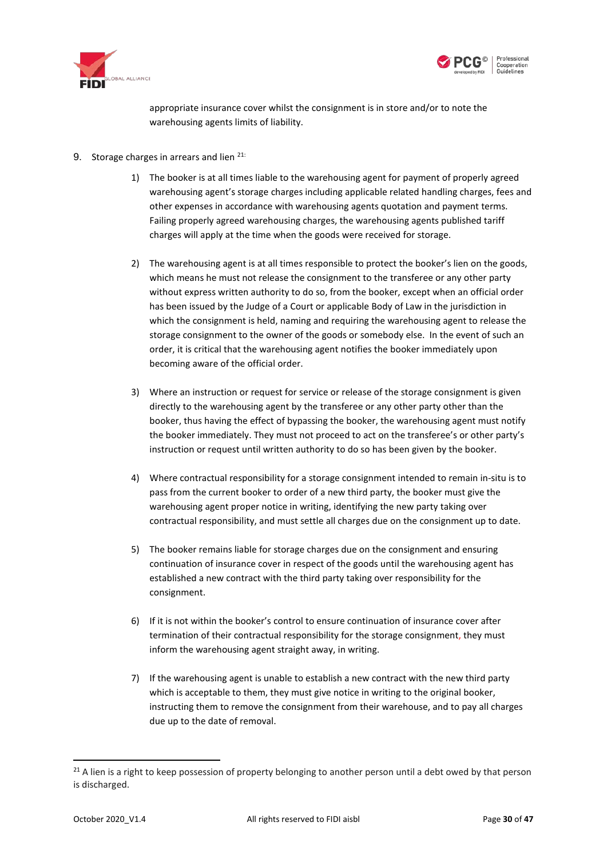



appropriate insurance cover whilst the consignment is in store and/or to note the warehousing agents limits of liability.

- 9. Storage charges in arrears and lien <sup>[21](#page-29-0):</sup>
	- 1) The booker is at all times liable to the warehousing agent for payment of properly agreed warehousing agent's storage charges including applicable related handling charges, fees and other expenses in accordance with warehousing agents quotation and payment terms. Failing properly agreed warehousing charges, the warehousing agents published tariff charges will apply at the time when the goods were received for storage.
	- 2) The warehousing agent is at all times responsible to protect the booker's lien on the goods, which means he must not release the consignment to the transferee or any other party without express written authority to do so, from the booker, except when an official order has been issued by the Judge of a Court or applicable Body of Law in the jurisdiction in which the consignment is held, naming and requiring the warehousing agent to release the storage consignment to the owner of the goods or somebody else. In the event of such an order, it is critical that the warehousing agent notifies the booker immediately upon becoming aware of the official order.
	- 3) Where an instruction or request for service or release of the storage consignment is given directly to the warehousing agent by the transferee or any other party other than the booker, thus having the effect of bypassing the booker, the warehousing agent must notify the booker immediately. They must not proceed to act on the transferee's or other party's instruction or request until written authority to do so has been given by the booker.
	- 4) Where contractual responsibility for a storage consignment intended to remain in-situ is to pass from the current booker to order of a new third party, the booker must give the warehousing agent proper notice in writing, identifying the new party taking over contractual responsibility, and must settle all charges due on the consignment up to date.
	- 5) The booker remains liable for storage charges due on the consignment and ensuring continuation of insurance cover in respect of the goods until the warehousing agent has established a new contract with the third party taking over responsibility for the consignment.
	- 6) If it is not within the booker's control to ensure continuation of insurance cover after termination of their contractual responsibility for the storage consignment, they must inform the warehousing agent straight away, in writing.
	- 7) If the warehousing agent is unable to establish a new contract with the new third party which is acceptable to them, they must give notice in writing to the original booker, instructing them to remove the consignment from their warehouse, and to pay all charges due up to the date of removal.

<span id="page-29-0"></span><sup>&</sup>lt;sup>21</sup> A lien is a right to keep possession of property belonging to another person until a debt owed by that person is discharged.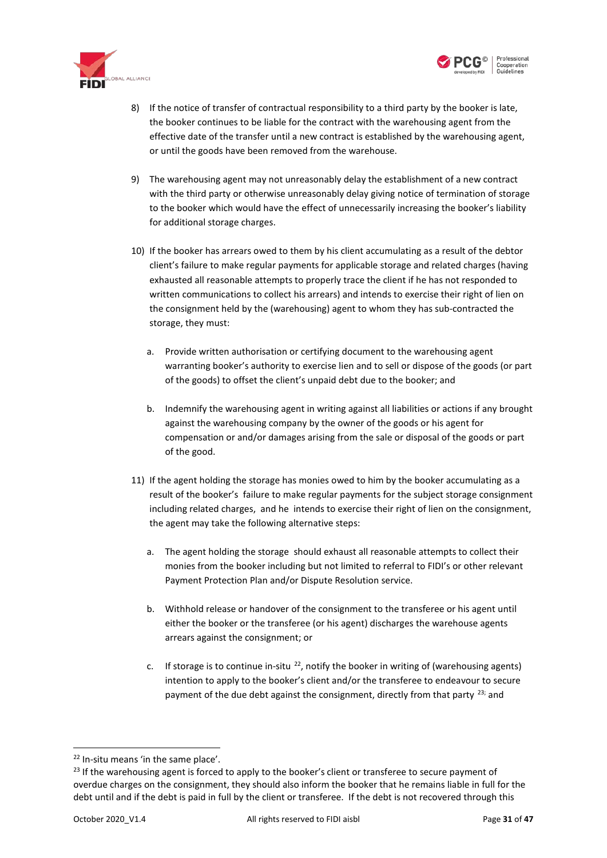



- 8) If the notice of transfer of contractual responsibility to a third party by the booker is late, the booker continues to be liable for the contract with the warehousing agent from the effective date of the transfer until a new contract is established by the warehousing agent, or until the goods have been removed from the warehouse.
- 9) The warehousing agent may not unreasonably delay the establishment of a new contract with the third party or otherwise unreasonably delay giving notice of termination of storage to the booker which would have the effect of unnecessarily increasing the booker's liability for additional storage charges.
- 10) If the booker has arrears owed to them by his client accumulating as a result of the debtor client's failure to make regular payments for applicable storage and related charges (having exhausted all reasonable attempts to properly trace the client if he has not responded to written communications to collect his arrears) and intends to exercise their right of lien on the consignment held by the (warehousing) agent to whom they has sub-contracted the storage, they must:
	- a. Provide written authorisation or certifying document to the warehousing agent warranting booker's authority to exercise lien and to sell or dispose of the goods (or part of the goods) to offset the client's unpaid debt due to the booker; and
	- b. Indemnify the warehousing agent in writing against all liabilities or actions if any brought against the warehousing company by the owner of the goods or his agent for compensation or and/or damages arising from the sale or disposal of the goods or part of the good.
- 11) If the agent holding the storage has monies owed to him by the booker accumulating as a result of the booker's failure to make regular payments for the subject storage consignment including related charges, and he intends to exercise their right of lien on the consignment, the agent may take the following alternative steps:
	- a. The agent holding the storage should exhaust all reasonable attempts to collect their monies from the booker including but not limited to referral to FIDI's or other relevant Payment Protection Plan and/or Dispute Resolution service.
	- b. Withhold release or handover of the consignment to the transferee or his agent until either the booker or the transferee (or his agent) discharges the warehouse agents arrears against the consignment; or
	- c. If storage is to continue in-situ  $^{22}$  $^{22}$  $^{22}$ , notify the booker in writing of (warehousing agents) intention to apply to the booker's client and/or the transferee to endeavour to secure payment of the due debt against the consignment, directly from that party  $^{23}$  $^{23}$  $^{23}$ ; and

<span id="page-30-0"></span> <sup>22</sup> In-situ means 'in the same place'.

<span id="page-30-1"></span><sup>&</sup>lt;sup>23</sup> If the warehousing agent is forced to apply to the booker's client or transferee to secure payment of overdue charges on the consignment, they should also inform the booker that he remains liable in full for the debt until and if the debt is paid in full by the client or transferee. If the debt is not recovered through this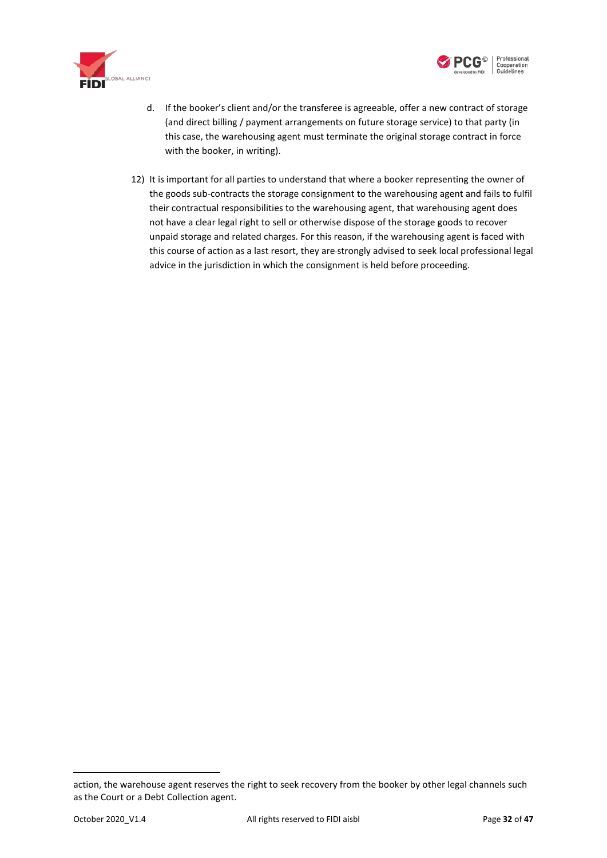





- d. If the booker's client and/or the transferee is agreeable, offer a new contract of storage (and direct billing / payment arrangements on future storage service) to that party (in this case, the warehousing agent must terminate the original storage contract in force with the booker, in writing).
- 12) It is important for all parties to understand that where a booker representing the owner of the goods sub-contracts the storage consignment to the warehousing agent and fails to fulfil their contractual responsibilities to the warehousing agent, that warehousing agent does not have a clear legal right to sell or otherwise dispose of the storage goods to recover unpaid storage and related charges. For this reason, if the warehousing agent is faced with this course of action as a last resort, they are strongly advised to seek local professional legal advice in the jurisdiction in which the consignment is held before proceeding.

**.** 

action, the warehouse agent reserves the right to seek recovery from the booker by other legal channels such as the Court or a Debt Collection agent.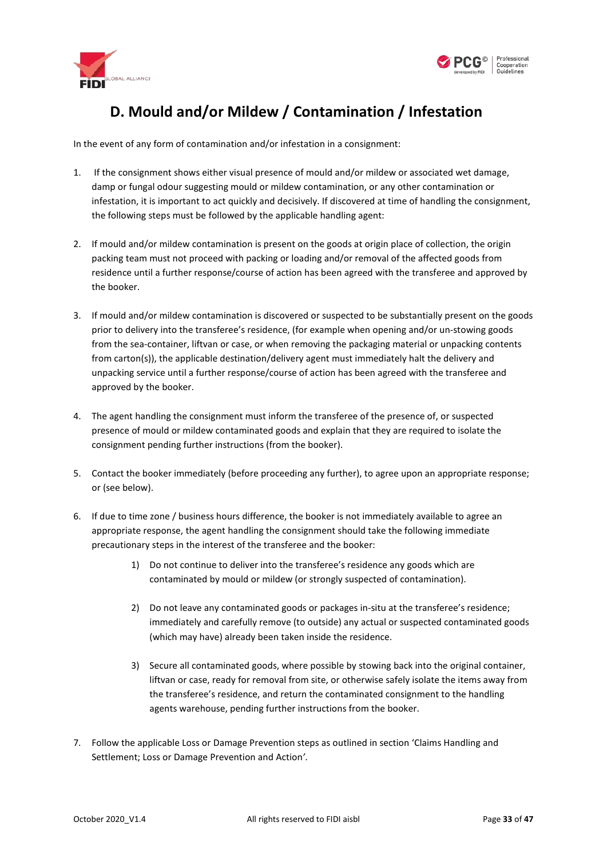

<span id="page-32-1"></span>

# **D. Mould and/or Mildew / Contamination / Infestation**

<span id="page-32-0"></span>In the event of any form of contamination and/or infestation in a consignment:

- 1. If the consignment shows either visual presence of mould and/or mildew or associated wet damage, damp or fungal odour suggesting mould or mildew contamination, or any other contamination or infestation, it is important to act quickly and decisively. If discovered at time of handling the consignment, the following steps must be followed by the applicable handling agent:
- 2. If mould and/or mildew contamination is present on the goods at origin place of collection, the origin packing team must not proceed with packing or loading and/or removal of the affected goods from residence until a further response/course of action has been agreed with the transferee and approved by the booker.
- 3. If mould and/or mildew contamination is discovered or suspected to be substantially present on the goods prior to delivery into the transferee's residence, (for example when opening and/or un-stowing goods from the sea-container, liftvan or case, or when removing the packaging material or unpacking contents from carton(s)), the applicable destination/delivery agent must immediately halt the delivery and unpacking service until a further response/course of action has been agreed with the transferee and approved by the booker.
- 4. The agent handling the consignment must inform the transferee of the presence of, or suspected presence of mould or mildew contaminated goods and explain that they are required to isolate the consignment pending further instructions (from the booker).
- 5. Contact the booker immediately (before proceeding any further), to agree upon an appropriate response; or (see below).
- 6. If due to time zone / business hours difference, the booker is not immediately available to agree an appropriate response, the agent handling the consignment should take the following immediate precautionary steps in the interest of the transferee and the booker:
	- 1) Do not continue to deliver into the transferee's residence any goods which are contaminated by mould or mildew (or strongly suspected of contamination).
	- 2) Do not leave any contaminated goods or packages in-situ at the transferee's residence; immediately and carefully remove (to outside) any actual or suspected contaminated goods (which may have) already been taken inside the residence.
	- 3) Secure all contaminated goods, where possible by stowing back into the original container, liftvan or case, ready for removal from site, or otherwise safely isolate the items away from the transferee's residence, and return the contaminated consignment to the handling agents warehouse, pending further instructions from the booker.
- 7. Follow the applicabl[e Loss or Damage Prevention steps](#page-43-1) as outlined in section ['Claims Handling and](#page-42-2)  Settlement; Loss [or Damage Prevention and Action](#page-42-2)*'*.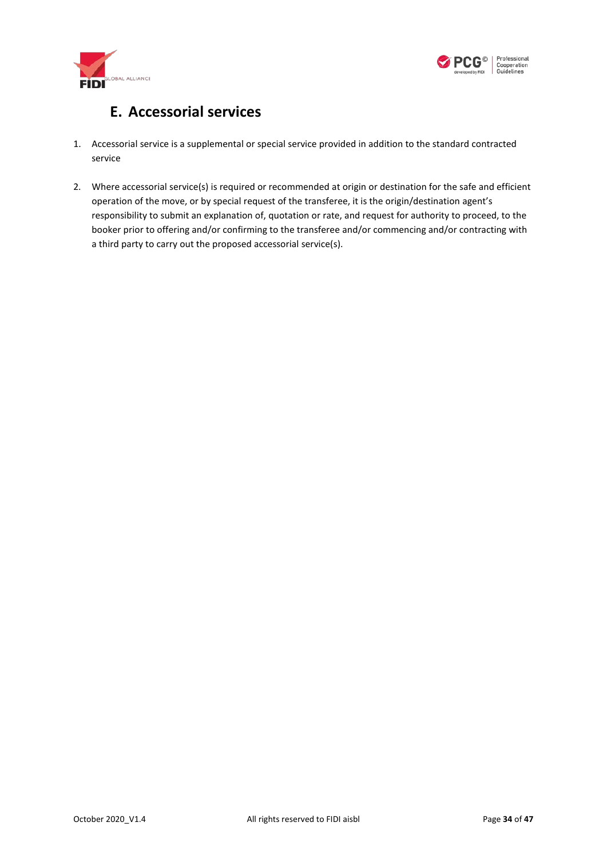



# **E. Accessorial services**

- <span id="page-33-0"></span>1. Accessorial service is a supplemental or special service provided in addition to the standard contracted service
- 2. Where accessorial service(s) is required or recommended at origin or destination for the safe and efficient operation of the move, or by special request of the transferee, it is the origin/destination agent's responsibility to submit an explanation of, quotation or rate, and request for authority to proceed, to the booker prior to offering and/or confirming to the transferee and/or commencing and/or contracting with a third party to carry out the proposed accessorial service(s).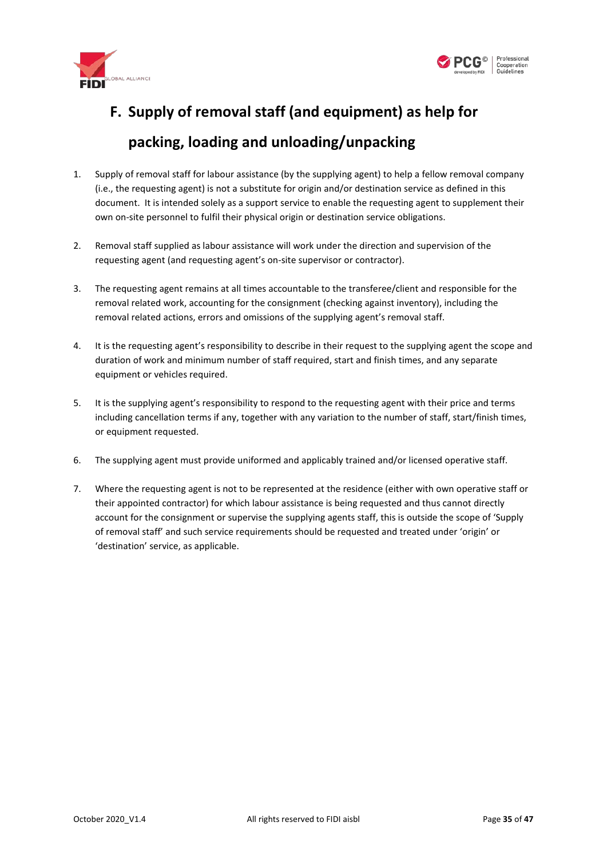



# <span id="page-34-0"></span>**F. Supply of removal staff (and equipment) as help for**

### **packing, loading and unloading/unpacking**

- 1. Supply of removal staff for labour assistance (by the supplying agent) to help a fellow removal company (i.e., the requesting agent) is not a substitute for origin and/or destination service as defined in this document. It is intended solely as a support service to enable the requesting agent to supplement their own on-site personnel to fulfil their physical origin or destination service obligations.
- 2. Removal staff supplied as labour assistance will work under the direction and supervision of the requesting agent (and requesting agent's on-site supervisor or contractor).
- 3. The requesting agent remains at all times accountable to the transferee/client and responsible for the removal related work, accounting for the consignment (checking against inventory), including the removal related actions, errors and omissions of the supplying agent's removal staff.
- 4. It is the requesting agent's responsibility to describe in their request to the supplying agent the scope and duration of work and minimum number of staff required, start and finish times, and any separate equipment or vehicles required.
- 5. It is the supplying agent's responsibility to respond to the requesting agent with their price and terms including cancellation terms if any, together with any variation to the number of staff, start/finish times, or equipment requested.
- 6. The supplying agent must provide uniformed and applicably trained and/or licensed operative staff.
- 7. Where the requesting agent is not to be represented at the residence (either with own operative staff or their appointed contractor) for which labour assistance is being requested and thus cannot directly account for the consignment or supervise the supplying agents staff, this is outside the scope of 'Supply of removal staff' and such service requirements should be requested and treated under 'origin' or 'destination' service, as applicable.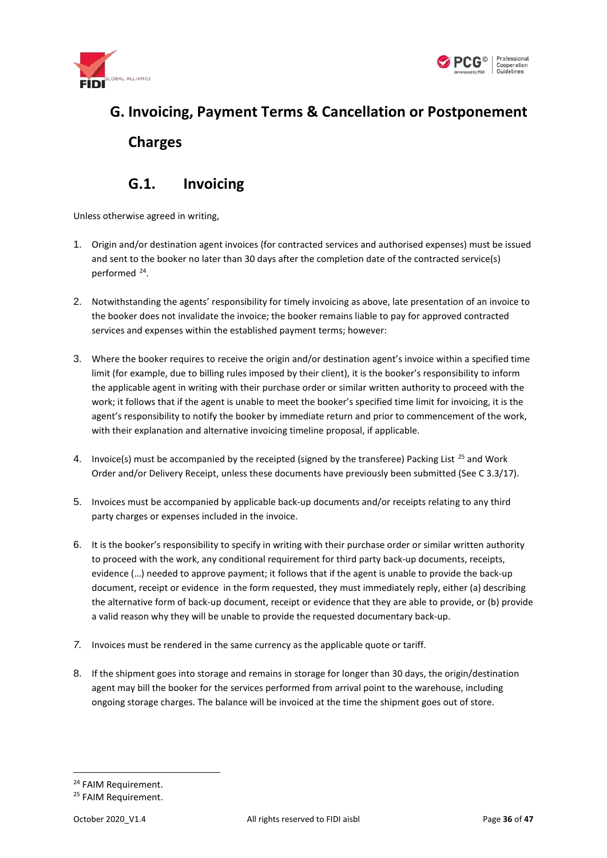



# <span id="page-35-0"></span>**G. Invoicing, Payment Terms & Cancellation or Postponement Charges**

#### **G.1. Invoicing**

<span id="page-35-1"></span>Unless otherwise agreed in writing,

- 1. Origin and/or destination agent invoices (for contracted services and authorised expenses) must be issued and sent to the booker no later than 30 days after the completion date of the contracted service(s) performed [24.](#page-35-2)
- 2. Notwithstanding the agents' responsibility for timely invoicing as above, late presentation of an invoice to the booker does not invalidate the invoice; the booker remains liable to pay for approved contracted services and expenses within the established payment terms; however:
- 3. Where the booker requires to receive the origin and/or destination agent's invoice within a specified time limit (for example, due to billing rules imposed by their client), it is the booker's responsibility to inform the applicable agent in writing with their purchase order or similar written authority to proceed with the work; it follows that if the agent is unable to meet the booker's specified time limit for invoicing, it is the agent's responsibility to notify the booker by immediate return and prior to commencement of the work, with their explanation and alternative invoicing timeline proposal, if applicable.
- 4. Invoice(s) must be accompanied by the receipted (signed by the transferee) Packing List<sup>[25](#page-35-3)</sup> and Work Order and/or Delivery Receipt, unless these documents have previously been submitted (See C 3.3[/17\).](#page-22-1)
- 5. Invoices must be accompanied by applicable back-up documents and/or receipts relating to any third party charges or expenses included in the invoice.
- 6. It is the booker's responsibility to specify in writing with their purchase order or similar written authority to proceed with the work, any conditional requirement for third party back-up documents, receipts, evidence (…) needed to approve payment; it follows that if the agent is unable to provide the back-up document, receipt or evidence in the form requested, they must immediately reply, either (a) describing the alternative form of back-up document, receipt or evidence that they are able to provide, or (b) provide a valid reason why they will be unable to provide the requested documentary back-up.
- *7.* Invoices must be rendered in the same currency as the applicable quote or tariff.
- 8. If the shipment goes into storage and remains in storage for longer than 30 days, the origin/destination agent may bill the booker for the services performed from arrival point to the warehouse, including ongoing storage charges. The balance will be invoiced at the time the shipment goes out of store.

<span id="page-35-2"></span><sup>&</sup>lt;sup>24</sup> FAIM Requirement.

<span id="page-35-3"></span><sup>&</sup>lt;sup>25</sup> FAIM Requirement.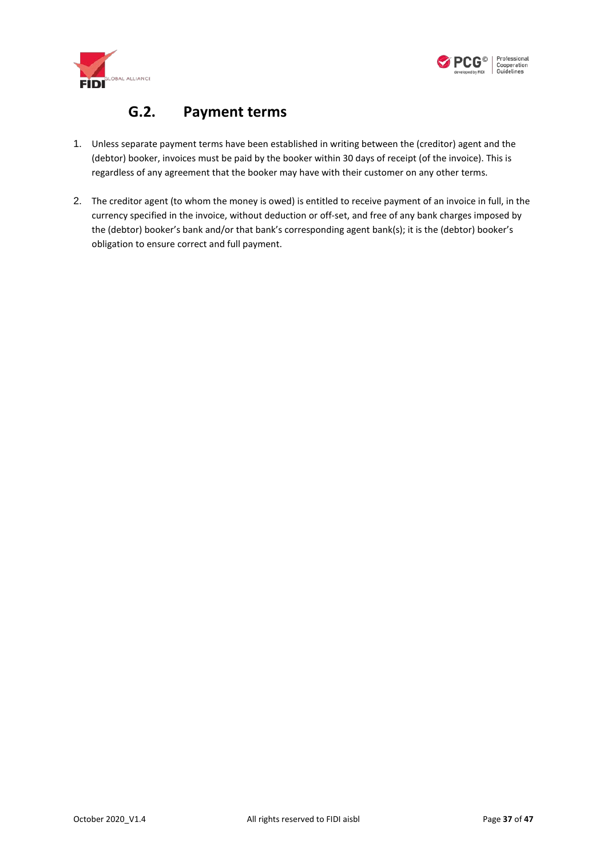



#### **G.2. Payment terms**

- <span id="page-36-0"></span>1. Unless separate payment terms have been established in writing between the (creditor) agent and the (debtor) booker, invoices must be paid by the booker within 30 days of receipt (of the invoice). This is regardless of any agreement that the booker may have with their customer on any other terms.
- 2. The creditor agent (to whom the money is owed) is entitled to receive payment of an invoice in full, in the currency specified in the invoice, without deduction or off-set, and free of any bank charges imposed by the (debtor) booker's bank and/or that bank's corresponding agent bank(s); it is the (debtor) booker's obligation to ensure correct and full payment.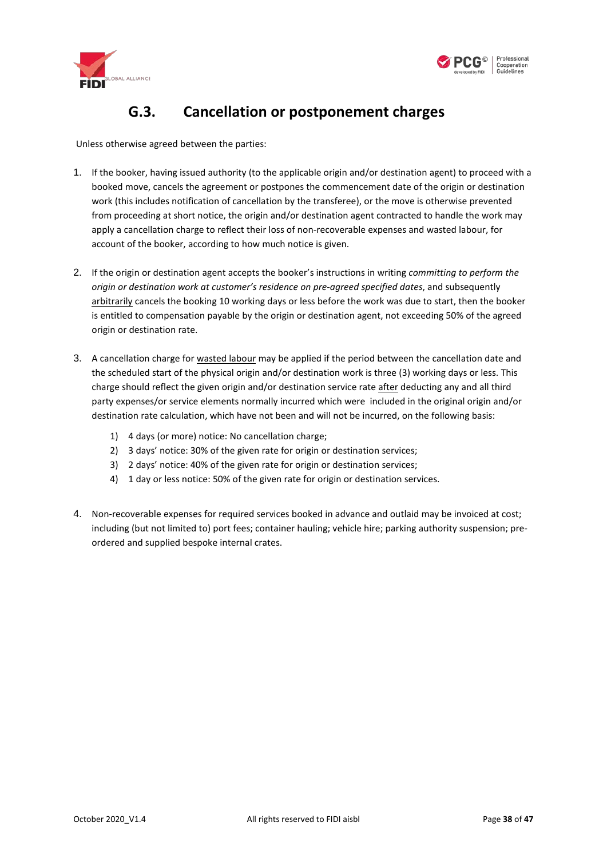



### **G.3. Cancellation or postponement charges**

<span id="page-37-0"></span>Unless otherwise agreed between the parties:

- 1. If the booker, having issued authority (to the applicable origin and/or destination agent) to proceed with a booked move, cancels the agreement or postpones the commencement date of the origin or destination work (this includes notification of cancellation by the transferee), or the move is otherwise prevented from proceeding at short notice, the origin and/or destination agent contracted to handle the work may apply a cancellation charge to reflect their loss of non-recoverable expenses and wasted labour, for account of the booker, according to how much notice is given.
- 2. If the origin or destination agent accepts the booker's instructions in writing *committing to perform the origin or destination work at customer's residence on pre-agreed specified dates*, and subsequently arbitrarily cancels the booking 10 working days or less before the work was due to start, then the booker is entitled to compensation payable by the origin or destination agent, not exceeding 50% of the agreed origin or destination rate.
- 3. A cancellation charge for wasted labour may be applied if the period between the cancellation date and the scheduled start of the physical origin and/or destination work is three (3) working days or less. This charge should reflect the given origin and/or destination service rate after deducting any and all third party expenses/or service elements normally incurred which were included in the original origin and/or destination rate calculation, which have not been and will not be incurred, on the following basis:
	- 1) 4 days (or more) notice: No cancellation charge;
	- 2) 3 days' notice: 30% of the given rate for origin or destination services;
	- 3) 2 days' notice: 40% of the given rate for origin or destination services;
	- 4) 1 day or less notice: 50% of the given rate for origin or destination services.
- 4. Non-recoverable expenses for required services booked in advance and outlaid may be invoiced at cost; including (but not limited to) port fees; container hauling; vehicle hire; parking authority suspension; preordered and supplied bespoke internal crates.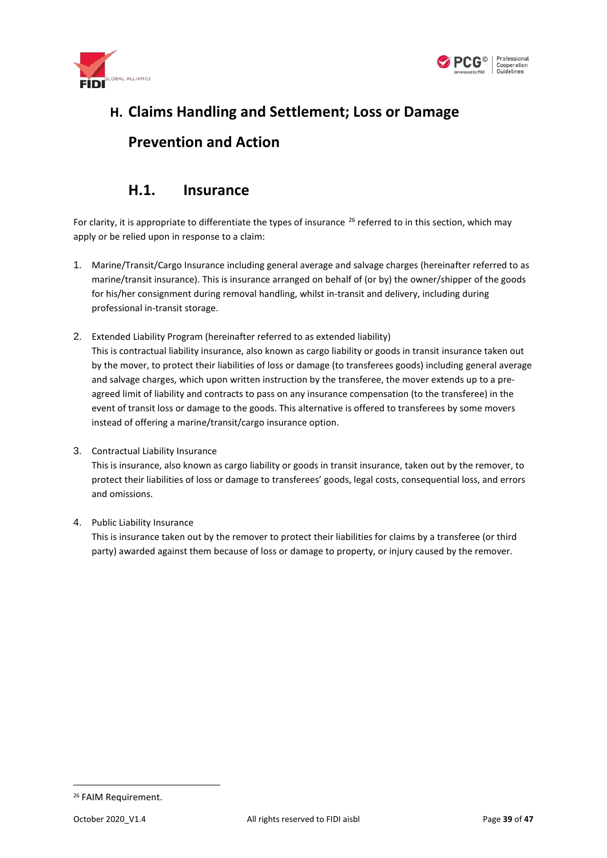



# <span id="page-38-0"></span>**H. Claims Handling and Settlement; Loss or Damage Prevention and Action**

#### **H.1. Insurance**

<span id="page-38-1"></span>For clarity, it is appropriate to differentiate the types of insurance  $^{26}$  $^{26}$  $^{26}$  referred to in this section, which may apply or be relied upon in response to a claim:

- <span id="page-38-2"></span>1. Marine/Transit/Cargo Insurance including general average and salvage charges (hereinafter referred to as marine/transit insurance). This is insurance arranged on behalf of (or by) the owner/shipper of the goods for his/her consignment during removal handling, whilst in-transit and delivery, including during professional in-transit storage.
- <span id="page-38-4"></span>2. Extended Liability Program (hereinafter referred to as extended liability) This is contractual liability insurance, also known as cargo liability or goods in transit insurance taken out by the mover, to protect their liabilities of loss or damage (to transferees goods) including general average and salvage charges, which upon written instruction by the transferee, the mover extends up to a preagreed limit of liability and contracts to pass on any insurance compensation (to the transferee) in the event of transit loss or damage to the goods. This alternative is offered to transferees by some movers instead of offering a marine/transit/cargo insurance option.
- 3. Contractual Liability Insurance

This is insurance, also known as cargo liability or goods in transit insurance, taken out by the remover, to protect their liabilities of loss or damage to transferees' goods, legal costs, consequential loss, and errors and omissions.

4. Public Liability Insurance

This is insurance taken out by the remover to protect their liabilities for claims by a transferee (or third party) awarded against them because of loss or damage to property, or injury caused by the remover.

<span id="page-38-3"></span> <sup>26</sup> FAIM Requirement.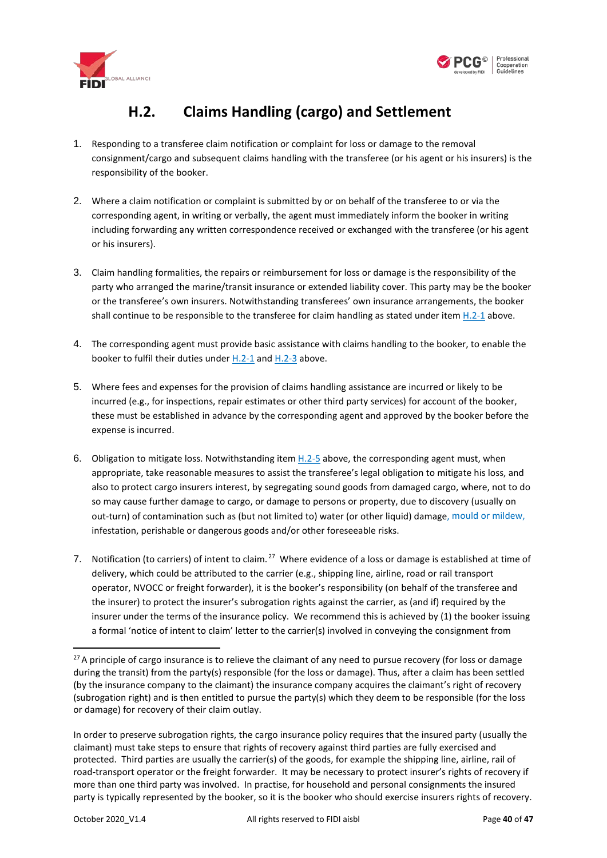



# **H.2. Claims Handling (cargo) and Settlement**

- <span id="page-39-1"></span><span id="page-39-0"></span>1. Responding to a transferee claim notification or complaint for loss or damage to the removal consignment/cargo and subsequent claims handling with the transferee (or his agent or his insurers) is the responsibility of the booker.
- 2. Where a claim notification or complaint is submitted by or on behalf of the transferee to or via the corresponding agent, in writing or verbally, the agent must immediately inform the booker in writing including forwarding any written correspondence received or exchanged with the transferee (or his agent or his insurers).
- <span id="page-39-2"></span>3. Claim handling formalities, the repairs or reimbursement for loss or damage is the responsibility of the party who arranged the marine/transit insurance or extended liability cover. This party may be the booker or the transferee's own insurers. Notwithstanding transferees' own insurance arrangements, the booker shall continue to be responsible to the transferee for claim handling as stated under item  $H.2-1$  above.
- 4. The corresponding agent must provide basic assistance with claims handling to the booker, to enable the booker to fulfil their duties under [H.2-1](#page-39-1) and [H.2-3](#page-39-2) above.
- 5. Where fees and expenses for the provision of claims handling assistance are incurred or likely to be incurred (e.g., for inspections, repair estimates or other third party services) for account of the booker, these must be established in advance by the corresponding agent and approved by the booker before the expense is incurred.
- 6. Obligation to mitigate loss. Notwithstanding item  $H.2-5$  above, the corresponding agent must, when appropriate, take reasonable measures to assist the transferee's legal obligation to mitigate his loss, and also to protect cargo insurers interest, by segregating sound goods from damaged cargo, where, not to do so may cause further damage to cargo, or damage to persons or property, due to discovery (usually on out-turn) of contamination such as (but not limited to) water (or other liquid) damage[, mould or mildew,](#page-32-1) infestation, perishable or dangerous goods and/or other foreseeable risks.
- 7. Notification (to carriers) of intent to claim.<sup>[27](#page-39-3)</sup> Where evidence of a loss or damage is established at time of delivery, which could be attributed to the carrier (e.g., shipping line, airline, road or rail transport operator, NVOCC or freight forwarder), it is the booker's responsibility (on behalf of the transferee and the insurer) to protect the insurer's subrogation rights against the carrier, as (and if) required by the insurer under the terms of the insurance policy. We recommend this is achieved by (1) the booker issuing a formal 'notice of intent to claim' letter to the carrier(s) involved in conveying the consignment from

<span id="page-39-3"></span> $27$ A principle of cargo insurance is to relieve the claimant of any need to pursue recovery (for loss or damage during the transit) from the party(s) responsible (for the loss or damage). Thus, after a claim has been settled (by the insurance company to the claimant) the insurance company acquires the claimant's right of recovery (subrogation right) and is then entitled to pursue the party(s) which they deem to be responsible (for the loss or damage) for recovery of their claim outlay.

In order to preserve subrogation rights, the cargo insurance policy requires that the insured party (usually the claimant) must take steps to ensure that rights of recovery against third parties are fully exercised and protected. Third parties are usually the carrier(s) of the goods, for example the shipping line, airline, rail of road-transport operator or the freight forwarder. It may be necessary to protect insurer's rights of recovery if more than one third party was involved. In practise, for household and personal consignments the insured party is typically represented by the booker, so it is the booker who should exercise insurers rights of recovery.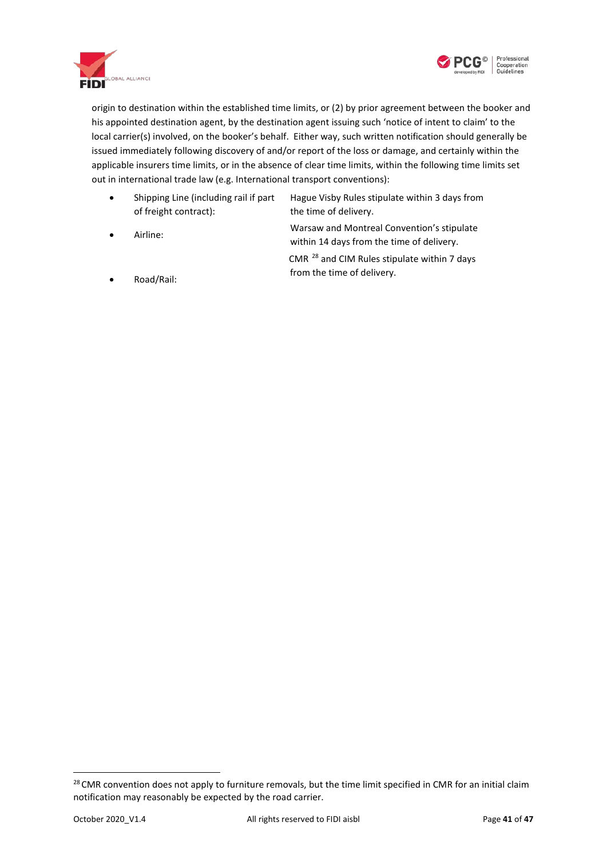



origin to destination within the established time limits, or (2) by prior agreement between the booker and his appointed destination agent, by the destination agent issuing such 'notice of intent to claim' to the local carrier(s) involved, on the booker's behalf. Either way, such written notification should generally be issued immediately following discovery of and/or report of the loss or damage, and certainly within the applicable insurers time limits, or in the absence of clear time limits, within the following time limits set out in international trade law (e.g. International transport conventions):

- Shipping Line (including rail if part of freight contract): Hague Visby Rules stipulate within 3 days from the time of delivery.
- Airline: Warsaw and Montreal Convention's stipulate within 14 days from the time of delivery.
	- CMR [28](#page-40-0) and CIM Rules stipulate within 7 days from the time of delivery.

• Road/Rail:

<span id="page-40-0"></span><sup>&</sup>lt;sup>28</sup> CMR convention does not apply to furniture removals, but the time limit specified in CMR for an initial claim notification may reasonably be expected by the road carrier.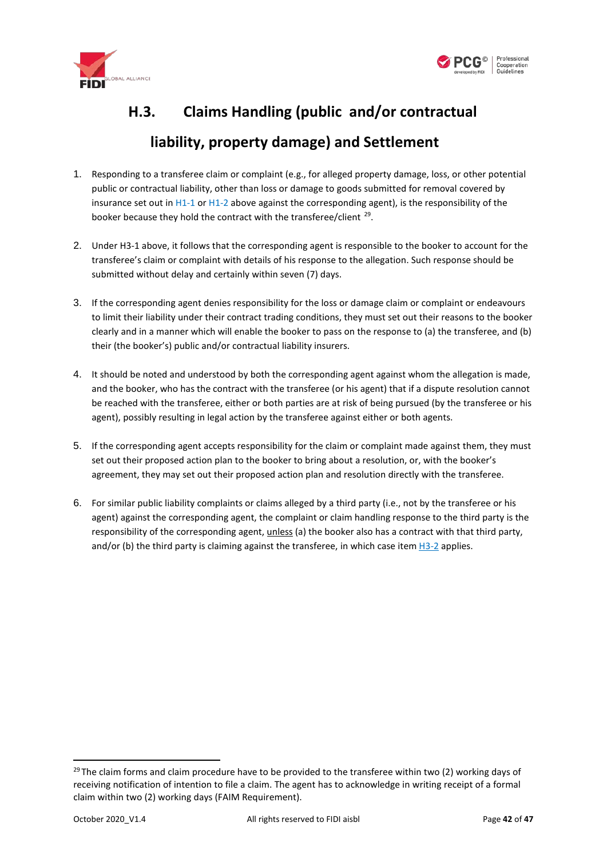



# <span id="page-41-0"></span>**H.3. Claims Handling (public and/or contractual liability, property damage) and Settlement**

- 1. Responding to a transferee claim or complaint (e.g., for alleged property damage, loss, or other potential public or contractual liability, other than loss or damage to goods submitted for removal covered by insurance set out in [H1-1](#page-38-2) or [H1-2](#page-38-4) above against the corresponding agent), is the responsibility of the booker because they hold the contract with the transferee/client <sup>29</sup>.
- <span id="page-41-1"></span>2. Under H3-1 above, it follows that the corresponding agent is responsible to the booker to account for the transferee's claim or complaint with details of his response to the allegation. Such response should be submitted without delay and certainly within seven (7) days.
- 3. If the corresponding agent denies responsibility for the loss or damage claim or complaint or endeavours to limit their liability under their contract trading conditions, they must set out their reasons to the booker clearly and in a manner which will enable the booker to pass on the response to (a) the transferee, and (b) their (the booker's) public and/or contractual liability insurers.
- 4. It should be noted and understood by both the corresponding agent against whom the allegation is made, and the booker, who has the contract with the transferee (or his agent) that if a dispute resolution cannot be reached with the transferee, either or both parties are at risk of being pursued (by the transferee or his agent), possibly resulting in legal action by the transferee against either or both agents.
- 5. If the corresponding agent accepts responsibility for the claim or complaint made against them, they must set out their proposed action plan to the booker to bring about a resolution, or, with the booker's agreement, they may set out their proposed action plan and resolution directly with the transferee.
- 6. For similar public liability complaints or claims alleged by a third party (i.e., not by the transferee or his agent) against the corresponding agent, the complaint or claim handling response to the third party is the responsibility of the corresponding agent, unless (a) the booker also has a contract with that third party, and/or (b) the third party is claiming against the transferee, in which case item [H3-2](#page-41-1) applies.

<span id="page-41-2"></span> $29$  The claim forms and claim procedure have to be provided to the transferee within two (2) working days of receiving notification of intention to file a claim. The agent has to acknowledge in writing receipt of a formal claim within two (2) working days (FAIM Requirement).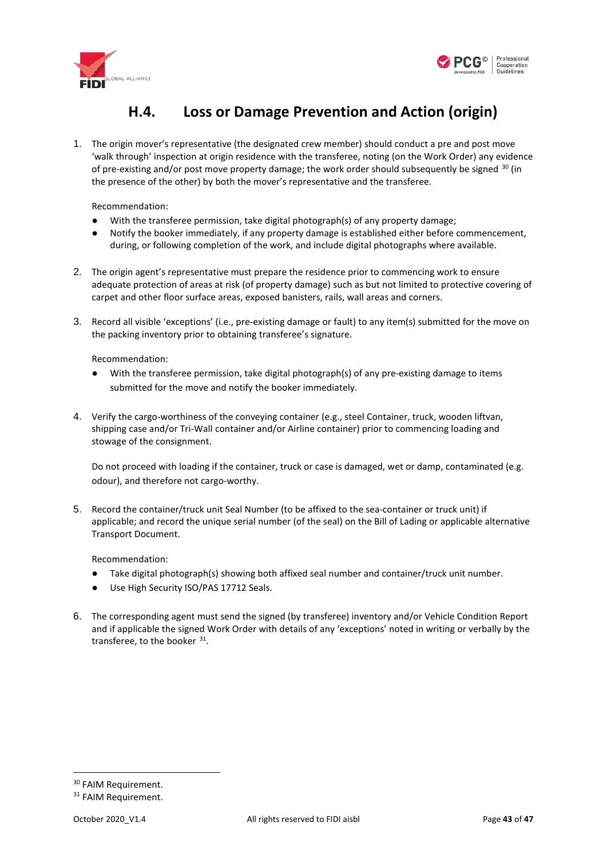<span id="page-42-2"></span>



### **H.4. Loss or Damage Prevention and Action (origin)**

<span id="page-42-0"></span>1. The origin mover's representative (the designated crew member) should conduct a pre and post move 'walk through' inspection at origin residence with the transferee, noting (on the Work Order) any evidence of pre-existing and/or post move property damage; the work order should subsequently be signed  $30$  (in the presence of the other) by both the mover's representative and the transferee.

Recommendation:

- With the transferee permission, take digital photograph(s) of any property damage;
- <span id="page-42-1"></span>● Notify the booker immediately, if any property damage is established either before commencement, during, or following completion of the work, and include digital photographs where available.
- 2. The origin agent's representative must prepare the residence prior to commencing work to ensure adequate protection of areas at risk (of property damage) such as but not limited to protective covering of carpet and other floor surface areas, exposed banisters, rails, wall areas and corners.
- 3. Record all visible 'exceptions' (i.e., pre-existing damage or fault) to any item(s) submitted for the move on the packing inventory prior to obtaining transferee's signature.

Recommendation:

- With the transferee permission, take digital photograph(s) of any pre-existing damage to items submitted for the move and notify the booker immediately.
- 4. Verify the cargo-worthiness of the conveying container (e.g., steel Container, truck, wooden liftvan, shipping case and/or Tri-Wall container and/or Airline container) prior to commencing loading and stowage of the consignment.

Do not proceed with loading if the container, truck or case is damaged, wet or damp, contaminated (e.g. odour), and therefore not cargo-worthy.

5. Record the container/truck unit Seal Number (to be affixed to the sea-container or truck unit) if applicable; and record the unique serial number (of the seal) on the Bill of Lading or applicable alternative Transport Document.

Recommendation:

- Take digital photograph(s) showing both affixed seal number and container/truck unit number.
- Use High Security ISO/PAS 17712 Seals.
- 6. The corresponding agent must send the signed (by transferee) inventory and/or Vehicle Condition Report and if applicable the signed Work Order with details of any 'exceptions' noted in writing or verbally by the transferee, to the booker [31](#page-42-4).

<span id="page-42-3"></span><sup>&</sup>lt;sup>30</sup> FAIM Requirement.

<span id="page-42-4"></span><sup>&</sup>lt;sup>31</sup> FAIM Requirement.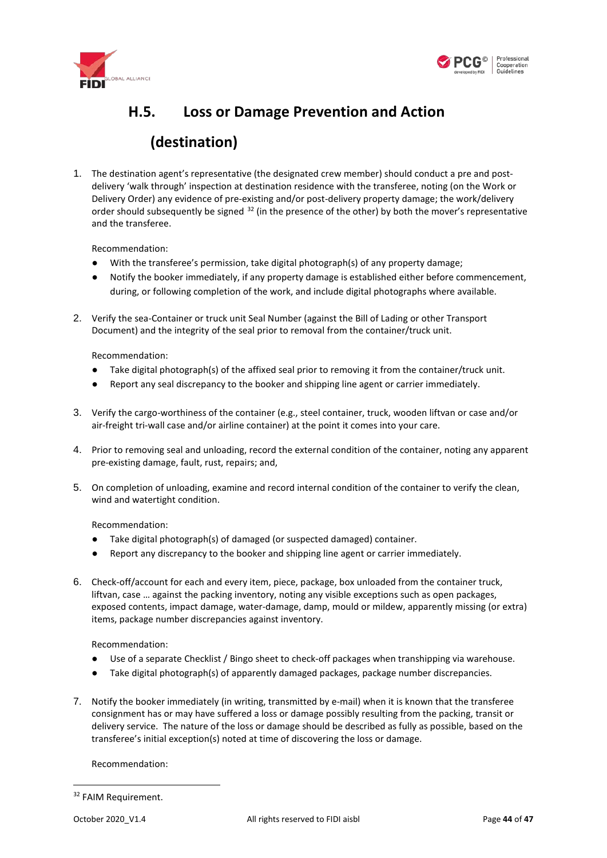



# <span id="page-43-1"></span><span id="page-43-0"></span>**H.5. Loss or Damage Prevention and Action (destination)**

1. The destination agent's representative (the designated crew member) should conduct a pre and postdelivery 'walk through' inspection at destination residence with the transferee, noting (on the Work or Delivery Order) any evidence of pre-existing and/or post-delivery property damage; the work/delivery order should subsequently be signed <sup>[32](#page-43-2)</sup> (in the presence of the other) by both the mover's representative and the transferee.

Recommendation:

- With the transferee's permission, take digital photograph(s) of any property damage;
- Notify the booker immediately, if any property damage is established either before commencement, during, or following completion of the work, and include digital photographs where available.
- 2. Verify the sea-Container or truck unit Seal Number (against the Bill of Lading or other Transport Document) and the integrity of the seal prior to removal from the container/truck unit.

Recommendation:

- Take digital photograph(s) of the affixed seal prior to removing it from the container/truck unit.
- Report any seal discrepancy to the booker and shipping line agent or carrier immediately.
- 3. Verify the cargo-worthiness of the container (e.g., steel container, truck, wooden liftvan or case and/or air-freight tri-wall case and/or airline container) at the point it comes into your care.
- 4. Prior to removing seal and unloading, record the external condition of the container, noting any apparent pre-existing damage, fault, rust, repairs; and,
- 5. On completion of unloading, examine and record internal condition of the container to verify the clean, wind and watertight condition.

Recommendation:

- Take digital photograph(s) of damaged (or suspected damaged) container.
- Report any discrepancy to the booker and shipping line agent or carrier immediately.
- 6. Check-off/account for each and every item, piece, package, box unloaded from the container truck, liftvan, case … against the packing inventory, noting any visible exceptions such as open packages, exposed contents, impact damage, water-damage, damp, mould or mildew, apparently missing (or extra) items, package number discrepancies against inventory.

Recommendation:

- Use of a separate Checklist / Bingo sheet to check-off packages when transhipping via warehouse.
- Take digital photograph(s) of apparently damaged packages, package number discrepancies.
- 7. Notify the booker immediately (in writing, transmitted by e-mail) when it is known that the transferee consignment has or may have suffered a loss or damage possibly resulting from the packing, transit or delivery service. The nature of the loss or damage should be described as fully as possible, based on the transferee's initial exception(s) noted at time of discovering the loss or damage.

Recommendation:

<span id="page-43-2"></span><sup>&</sup>lt;sup>32</sup> FAIM Requirement.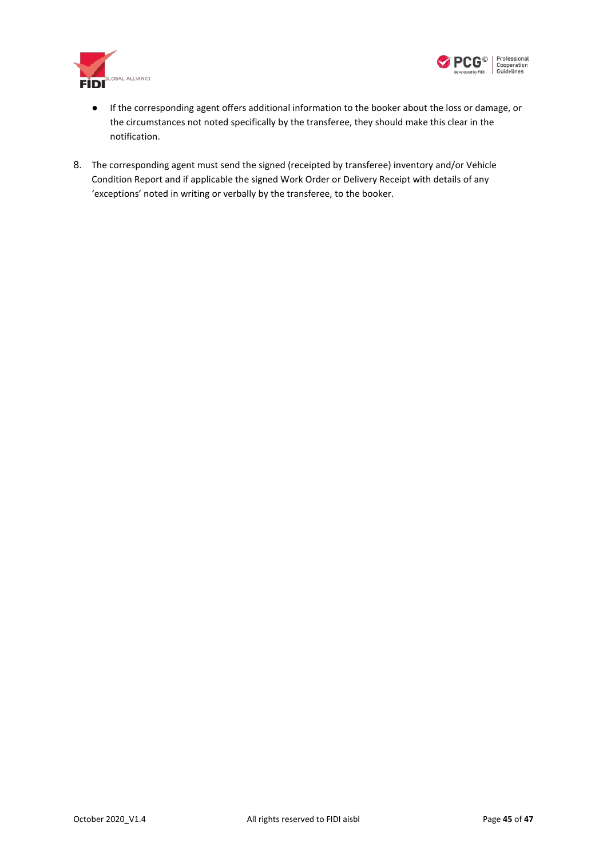



- If the corresponding agent offers additional information to the booker about the loss or damage, or the circumstances not noted specifically by the transferee, they should make this clear in the notification.
- 8. The corresponding agent must send the signed (receipted by transferee) inventory and/or Vehicle Condition Report and if applicable the signed Work Order or Delivery Receipt with details of any 'exceptions' noted in writing or verbally by the transferee, to the booker.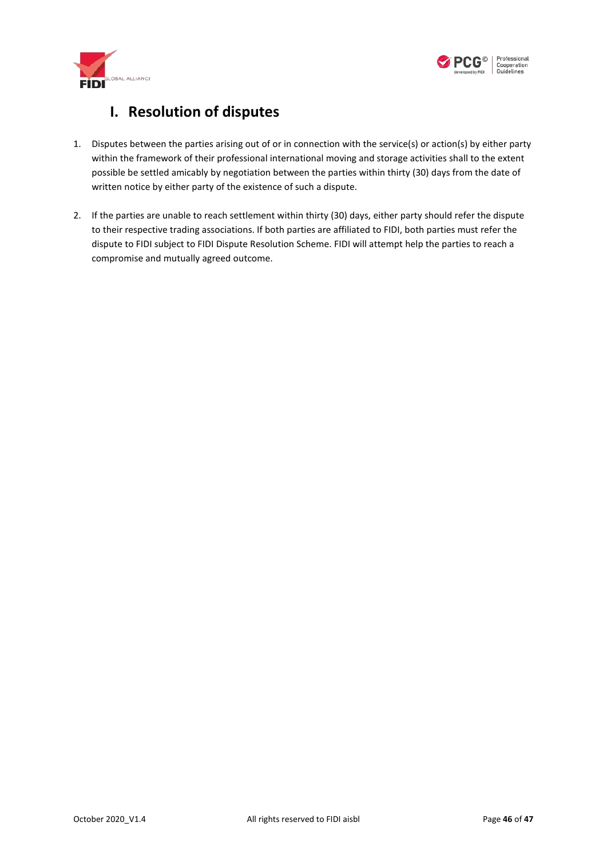



#### **I. Resolution of disputes**

- <span id="page-45-0"></span>1. Disputes between the parties arising out of or in connection with the service(s) or action(s) by either party within the framework of their professional international moving and storage activities shall to the extent possible be settled amicably by negotiation between the parties within thirty (30) days from the date of written notice by either party of the existence of such a dispute.
- 2. If the parties are unable to reach settlement within thirty (30) days, either party should refer the dispute to their respective trading associations. If both parties are affiliated to FIDI, both parties must refer the dispute to FIDI subject to FIDI Dispute Resolution Scheme. FIDI will attempt help the parties to reach a compromise and mutually agreed outcome.